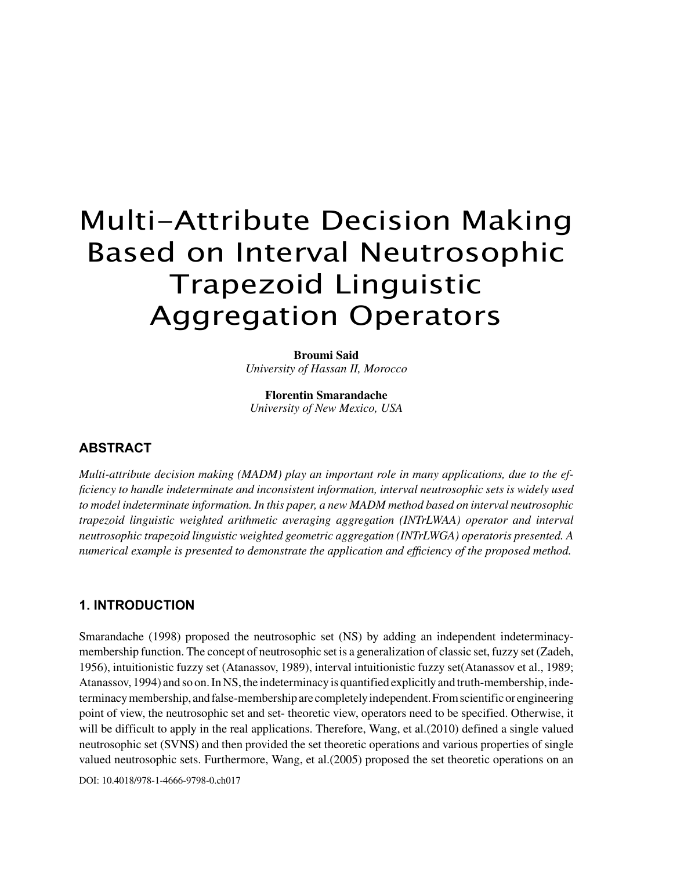# Multi-Attribute Decision Making Based on Interval Neutrosophic Trapezoid Linguistic Aggregation Operators

**Broumi Said** *University of Hassan II, Morocco*

**Florentin Smarandache** *University of New Mexico, USA*

# **ABSTRACT**

*Multi-attribute decision making (MADM) play an important role in many applications, due to the efficiency to handle indeterminate and inconsistent information, interval neutrosophic sets is widely used to model indeterminate information. In this paper, a new MADM method based on interval neutrosophic trapezoid linguistic weighted arithmetic averaging aggregation (INTrLWAA) operator and interval neutrosophic trapezoid linguistic weighted geometric aggregation (INTrLWGA) operatoris presented. A numerical example is presented to demonstrate the application and efficiency of the proposed method.*

# **1. INTRODUCTION**

Smarandache (1998) proposed the neutrosophic set (NS) by adding an independent indeterminacymembership function. The concept of neutrosophic set is a generalization of classic set, fuzzy set (Zadeh, 1956), intuitionistic fuzzy set (Atanassov, 1989), interval intuitionistic fuzzy set(Atanassov et al., 1989; Atanassov, 1994) and so on. In NS, the indeterminacy is quantified explicitly and truth-membership, indeterminacy membership, and false-membership are completely independent. From scientific or engineering point of view, the neutrosophic set and set- theoretic view, operators need to be specified. Otherwise, it will be difficult to apply in the real applications. Therefore, Wang, et al. (2010) defined a single valued neutrosophic set (SVNS) and then provided the set theoretic operations and various properties of single valued neutrosophic sets. Furthermore, Wang, et al.(2005) proposed the set theoretic operations on an

DOI: 10.4018/978-1-4666-9798-0.ch017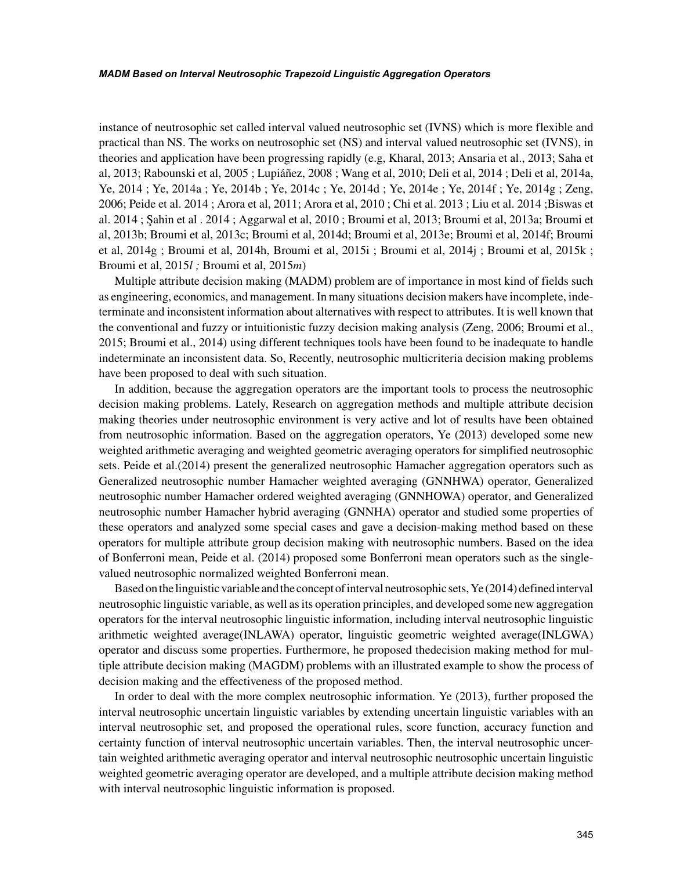instance of neutrosophic set called interval valued neutrosophic set (IVNS) which is more flexible and practical than NS. The works on neutrosophic set (NS) and interval valued neutrosophic set (IVNS), in theories and application have been progressing rapidly (e.g, Kharal, 2013; Ansaria et al., 2013; Saha et al, 2013; Rabounski et al, 2005 ; Lupiáñez, 2008 ; Wang et al, 2010; Deli et al, 2014 ; Deli et al, 2014a, Ye, 2014 ; Ye, 2014a ; Ye, 2014b ; Ye, 2014c ; Ye, 2014d ; Ye, 2014e ; Ye, 2014f ; Ye, 2014g ; Zeng, 2006; Peide et al. 2014 ; Arora et al, 2011; Arora et al, 2010 ; Chi et al. 2013 ; Liu et al. 2014 ; Biswas et al. 2014 ; Şahin et al . 2014 ; Aggarwal et al, 2010 ; Broumi et al, 2013; Broumi et al, 2013a; Broumi et al, 2013b; Broumi et al, 2013c; Broumi et al, 2014d; Broumi et al, 2013e; Broumi et al, 2014f; Broumi et al, 2014g ; Broumi et al, 2014h, Broumi et al, 2015i ; Broumi et al, 2014j ; Broumi et al, 2015k ; Broumi et al, 2015*l ;* Broumi et al, 2015*m*)

Multiple attribute decision making (MADM) problem are of importance in most kind of fields such as engineering, economics, and management. In many situations decision makers have incomplete, indeterminate and inconsistent information about alternatives with respect to attributes. It is well known that the conventional and fuzzy or intuitionistic fuzzy decision making analysis (Zeng, 2006; Broumi et al., 2015; Broumi et al., 2014) using different techniques tools have been found to be inadequate to handle indeterminate an inconsistent data. So, Recently, neutrosophic multicriteria decision making problems have been proposed to deal with such situation.

In addition, because the aggregation operators are the important tools to process the neutrosophic decision making problems. Lately, Research on aggregation methods and multiple attribute decision making theories under neutrosophic environment is very active and lot of results have been obtained from neutrosophic information. Based on the aggregation operators, Ye (2013) developed some new weighted arithmetic averaging and weighted geometric averaging operators for simplified neutrosophic sets. Peide et al.(2014) present the generalized neutrosophic Hamacher aggregation operators such as Generalized neutrosophic number Hamacher weighted averaging (GNNHWA) operator, Generalized neutrosophic number Hamacher ordered weighted averaging (GNNHOWA) operator, and Generalized neutrosophic number Hamacher hybrid averaging (GNNHA) operator and studied some properties of these operators and analyzed some special cases and gave a decision-making method based on these operators for multiple attribute group decision making with neutrosophic numbers. Based on the idea of Bonferroni mean, Peide et al. (2014) proposed some Bonferroni mean operators such as the singlevalued neutrosophic normalized weighted Bonferroni mean.

Based on the linguistic variable and the concept of interval neutrosophic sets, Ye (2014) defined interval neutrosophic linguistic variable, as well as its operation principles, and developed some new aggregation operators for the interval neutrosophic linguistic information, including interval neutrosophic linguistic arithmetic weighted average(INLAWA) operator, linguistic geometric weighted average(INLGWA) operator and discuss some properties. Furthermore, he proposed thedecision making method for multiple attribute decision making (MAGDM) problems with an illustrated example to show the process of decision making and the effectiveness of the proposed method.

In order to deal with the more complex neutrosophic information. Ye (2013), further proposed the interval neutrosophic uncertain linguistic variables by extending uncertain linguistic variables with an interval neutrosophic set, and proposed the operational rules, score function, accuracy function and certainty function of interval neutrosophic uncertain variables. Then, the interval neutrosophic uncertain weighted arithmetic averaging operator and interval neutrosophic neutrosophic uncertain linguistic weighted geometric averaging operator are developed, and a multiple attribute decision making method with interval neutrosophic linguistic information is proposed.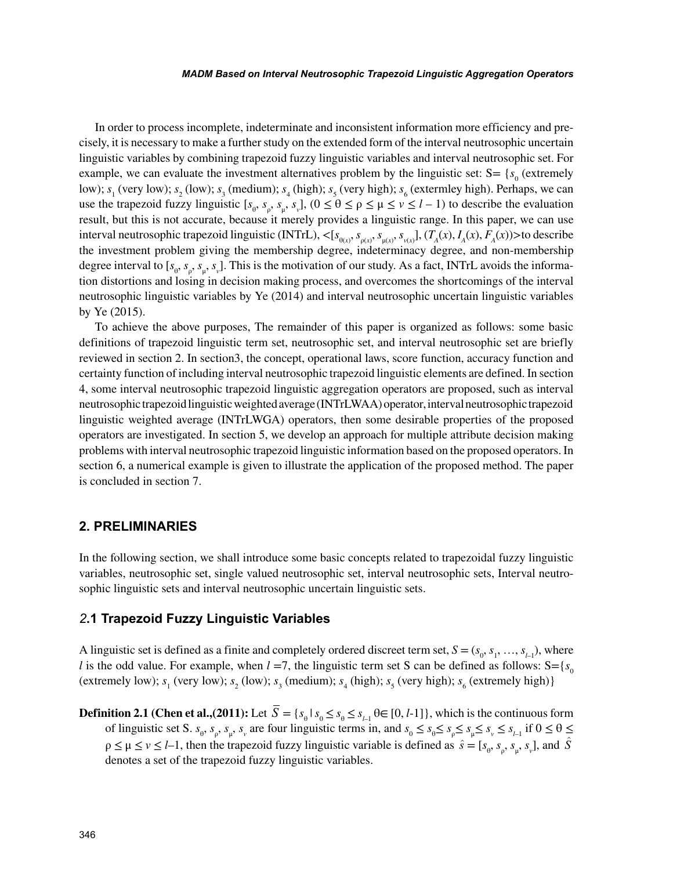In order to process incomplete, indeterminate and inconsistent information more efficiency and precisely, it is necessary to make a further study on the extended form of the interval neutrosophic uncertain linguistic variables by combining trapezoid fuzzy linguistic variables and interval neutrosophic set. For example, we can evaluate the investment alternatives problem by the linguistic set:  $S = \{s_0 \text{ (extremely } \}$ low);  $s_1$  (very low);  $s_2$  (low);  $s_3$  (medium);  $s_4$  (high);  $s_5$  (very high);  $s_6$  (extermley high). Perhaps, we can use the trapezoid fuzzy linguistic  $[s_{\theta}, s_{\rho}, s_{\mu}, s_{\nu}]$ ,  $(0 \le \theta \le \rho \le \mu \le \nu \le l-1)$  to describe the evaluation result, but this is not accurate, because it merely provides a linguistic range. In this paper, we can use interval neutrosophic trapezoid linguistic (INTrL),  $\langle [s_{\theta(x)}, s_{\rho(x)}, s_{\mu(x)}, s_{\nu(x)}], (T_A(x), I_A(x), F_A(x)) \rangle$  to describe the investment problem giving the membership degree, indeterminacy degree, and non-membership degree interval to [ $s_{\theta}$ ,  $s_{\mu}$ ,  $s_{\mu}$ ]. This is the motivation of our study. As a fact, INTrL avoids the information distortions and losing in decision making process, and overcomes the shortcomings of the interval neutrosophic linguistic variables by Ye (2014) and interval neutrosophic uncertain linguistic variables by Ye (2015).

To achieve the above purposes, The remainder of this paper is organized as follows: some basic definitions of trapezoid linguistic term set, neutrosophic set, and interval neutrosophic set are briefly reviewed in section 2. In section3, the concept, operational laws, score function, accuracy function and certainty function of including interval neutrosophic trapezoid linguistic elements are defined. In section 4, some interval neutrosophic trapezoid linguistic aggregation operators are proposed, such as interval neutrosophic trapezoid linguistic weighted average (INTrLWAA) operator, interval neutrosophic trapezoid linguistic weighted average (INTrLWGA) operators, then some desirable properties of the proposed operators are investigated. In section 5, we develop an approach for multiple attribute decision making problems with interval neutrosophic trapezoid linguistic information based on the proposed operators. In section 6, a numerical example is given to illustrate the application of the proposed method. The paper is concluded in section 7.

## **2. PRELIMINARIES**

In the following section, we shall introduce some basic concepts related to trapezoidal fuzzy linguistic variables, neutrosophic set, single valued neutrosophic set, interval neutrosophic sets, Interval neutrosophic linguistic sets and interval neutrosophic uncertain linguistic sets.

#### *2***.1 Trapezoid Fuzzy Linguistic Variables**

A linguistic set is defined as a finite and completely ordered discreet term set,  $S = (s_0, s_1, \ldots, s_{l-1})$ , where *l* is the odd value. For example, when  $l = 7$ , the linguistic term set S can be defined as follows: S={ $s<sub>0</sub>$ (extremely low);  $s_1$  (very low);  $s_2$  (low);  $s_3$  (medium);  $s_4$  (high);  $s_5$  (very high);  $s_6$  (extremely high)}

**Definition 2.1 (Chen et al.,(2011):** Let  $S = \{s_{\theta} \mid s_{\theta} \le s_{\theta} \le s_{\theta} \le s_{\theta} \mid \theta \in [0, l-1]\}$ , which is the continuous form of linguistic set S.  $s_{\theta}$ ,  $s_{\mu}$ ,  $s_{\nu}$  are four linguistic terms in, and  $s_{\theta} \leq s_{\theta} \leq s_{\rho} \leq s_{\mu} \leq s_{\nu} \leq s_{\mu}$  if  $0 \leq \theta \leq \theta$  $\rho \le \mu \le \nu \le l-1$ , then the trapezoid fuzzy linguistic variable is defined as  $\hat{s} = [s_{\theta}, s_{\rho}, s_{\mu}, s_{\nu}]$ , and  $\hat{S}$ denotes a set of the trapezoid fuzzy linguistic variables.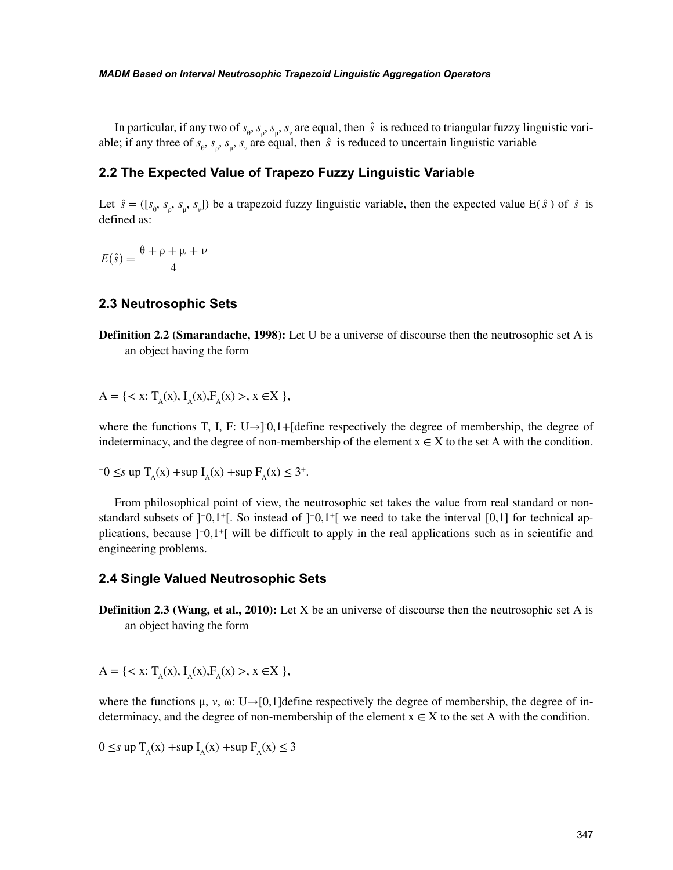In particular, if any two of  $s_{\theta}$ ,  $s_{\rho}$ ,  $s_{\mu}$ ,  $s_{\nu}$  are equal, then  $\hat{s}$  is reduced to triangular fuzzy linguistic variable; if any three of  $s_{\theta}$ ,  $s_{\rho}$ ,  $s_{\mu}$ ,  $s_{\nu}$  are equal, then  $\hat{s}$  is reduced to uncertain linguistic variable

## **2.2 The Expected Value of Trapezo Fuzzy Linguistic Variable**

Let  $\hat{s} = ([s_{\theta}, s_{\rho}, s_{\mu}, s_{\nu}])$  be a trapezoid fuzzy linguistic variable, then the expected value E( $\hat{s}$ ) of  $\hat{s}$  is defined as:

 $E(\hat{s}) = \frac{\theta + \rho + \mu + \nu}{\sqrt{2\pi}}$ 4

### **2.3 Neutrosophic Sets**

**Definition 2.2 (Smarandache, 1998):** Let U be a universe of discourse then the neutrosophic set A is an object having the form

 $A = \{ \langle x : T_{\alpha}(x), I_{\alpha}(x), F_{\alpha}(x) \rangle, x \in X \}$ 

where the functions T, I, F: U $\rightarrow$ ] 0,1+[define respectively the degree of membership, the degree of indeterminacy, and the degree of non-membership of the element  $x \in X$  to the set A with the condition.

$$
-0 \leq s \text{ up } T_A(x) + \sup I_A(x) + \sup F_A(x) \leq 3^+.
$$

From philosophical point of view, the neutrosophic set takes the value from real standard or nonstandard subsets of  $]$ <sup>-</sup>0,1<sup>+</sup>[. So instead of  $]$ <sup>-0</sup>,1<sup>+</sup>[ we need to take the interval [0,1] for technical applications, because ]−0,1+[ will be difficult to apply in the real applications such as in scientific and engineering problems.

#### **2.4 Single Valued Neutrosophic Sets**

**Definition 2.3 (Wang, et al., 2010):** Let X be an universe of discourse then the neutrosophic set A is an object having the form

 $A = \{ \langle x : T_{\alpha}(x), I_{\alpha}(x), F_{\alpha}(x) \rangle, x \in X \}$ 

where the functions  $\mu$ ,  $\nu$ ,  $\omega$ : U→[0,1]define respectively the degree of membership, the degree of indeterminacy, and the degree of non-membership of the element  $x \in X$  to the set A with the condition.

 $0 \leq s$  up  $T_{\alpha}(x)$  +sup  $I_{\alpha}(x)$  +sup  $F_{\alpha}(x) \leq 3$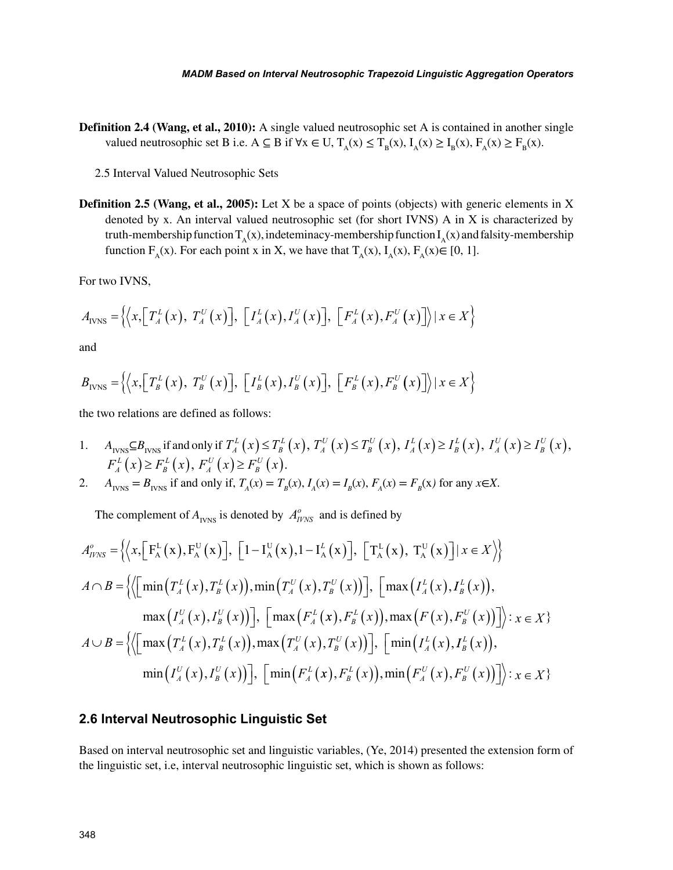**Definition 2.4 (Wang, et al., 2010):** A single valued neutrosophic set A is contained in another single valued neutrosophic set B i.e. A  $\subseteq$  B if  $\forall x \in U$ ,  $T_A(x) \le T_B(x)$ ,  $I_A(x) \ge I_B(x)$ ,  $F_A(x) \ge F_B(x)$ .

2.5 Interval Valued Neutrosophic Sets

**Definition 2.5 (Wang, et al., 2005):** Let X be a space of points (objects) with generic elements in X denoted by x. An interval valued neutrosophic set (for short IVNS) A in X is characterized by truth-membership function  $T_A(x)$ , indeteminacy-membership function  $I_A(x)$  and falsity-membership function  $F_A(x)$ . For each point x in X, we have that  $T_A(x)$ ,  $I_A(x)$ ,  $F_A(x) \in [0, 1]$ .

For two IVNS,

$$
A_{\text{IVNS}} = \left\{ \left\langle x, \left[ T_A^L(x), T_A^U(x) \right], \left[ T_A^L(x), T_A^U(x) \right], \left[ F_A^L(x), F_A^U(x) \right] \right\rangle | x \in X \right\}
$$

and

$$
B_{\text{IVNS}} = \left\{ \left\langle x, \left[ T_B^L(x), T_B^U(x) \right], \left[ I_B^L(x), I_B^U(x) \right], \left[ F_B^L(x), F_B^U(x) \right] \right\rangle | x \in X \right\}
$$

the two relations are defined as follows:

1. *A*<sub>IVNS</sub> $\subseteq B$ <sub>IVNS</sub> if and only if  $T_A^L(x) \leq T_B^L(x)$  $\left(x\right) \leq T_{B}^{L}\left(x\right), T_{A}^{U}\left(x\right) \leq T_{B}^{U}\left(x\right)$  $\left(x\right) \leq T_B^U\left(x\right), I_A^L\left(x\right) \geq I_B^L\left(x\right)$  $L\left(x\right) \geq I_B^L\left(x\right), I_A^U\left(x\right) \geq I_B^U\left(x\right)$  $(x) \geq I_B^U(x)$ ,  $F_A^L(x) \geq F_B^L(x)$  $F_B^L(x) \ge F_B^L(x)$ ,  $F_A^U(x) \ge F_B^U(x)$  $(x) \geq F_{B}^{U}(x)$ .

2. 
$$
A_{IVNS} = B_{IVNS}
$$
 if and only if,  $T_A(x) = T_B(x), I_A(x) = I_B(x), F_A(x) = F_B(x)$  for any  $x \in X$ .

The complement of  $A_{IVNS}$  is denoted by  $A_{IVNS}^o$  and is defined by

$$
A_{IVNS}^o = \left\{ \left\langle x, \left[ F_A^L(x), F_A^U(x) \right], \left[ 1 - I_A^U(x), 1 - I_A^L(x) \right], \left[ T_A^L(x), T_A^U(x) \right] | x \in X \right\rangle \right\}
$$
  

$$
A \cap B = \left\{ \left\langle \left[ \min \left( T_A^L(x), T_B^L(x), \min \left( T_A^U(x), T_B^U(x) \right) \right], \left[ \max \left( I_A^L(x), I_B^L(x) \right), \right] \right\rangle \right\}
$$

$$
\max \left( I_A^U(x), I_B^U(x) \right) \right], \left[ \max \left( F_A^L(x), F_B^L(x) \right), \max \left( F(x), F_B^U(x) \right) \right] \right\rangle : x \in X \}
$$
  

$$
A \cup B = \left\{ \left\langle \left[ \max \left( T_A^L(x), T_B^L(x), \min \left( T_A^U(x), T_B^U(x) \right) \right], \left[ \min \left( I_A^L(x), I_B^L(x) \right), \right] \right\rangle : x \in X \right\}
$$

$$
\min \left( I_A^U(x), I_B^U(x) \right) \right], \left[ \min \left( F_A^L(x), F_B^L(x) \right), \min \left( F_A^U(x), F_B^U(x) \right) \right] \right\rangle : x \in X \}
$$

#### **2.6 Interval Neutrosophic Linguistic Set**

Based on interval neutrosophic set and linguistic variables, (Ye, 2014) presented the extension form of the linguistic set, i.e, interval neutrosophic linguistic set, which is shown as follows: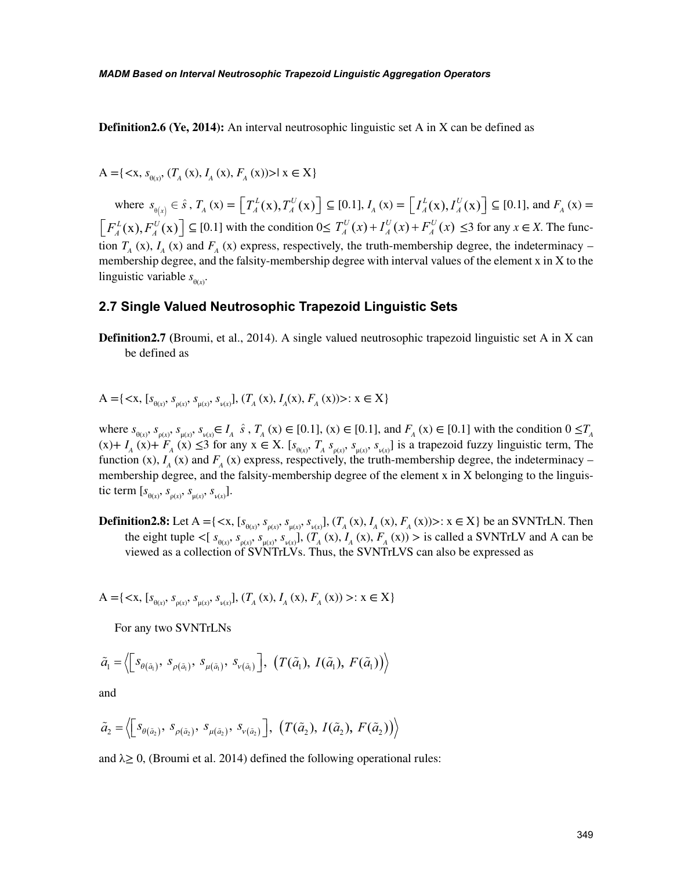**Definition2.6 (Ye, 2014):** An interval neutrosophic linguistic set A in X can be defined as

 $A = \{ \langle x, s_{\theta(x)}, (T_A(x), I_A(x), F_A(x)) \rangle | x \in X \}$ 

where  $s_{\theta(x)} \in \hat{s}$ ,  $T_A(x) = \left[ T_A^L(x), T \right]$  $\left[ T_A^L(\mathbf{x}), T_A^U(\mathbf{x}) \right] \subseteq [0.1], I_A(\mathbf{x}) = \left[ I_A^L(\mathbf{x}), I \right]$  $\left[ I_A^L(\mathbf{x}), I_A^U(\mathbf{x}) \right] \subseteq [0.1]$ , and  $F_A(\mathbf{x}) =$  $F_A^L$ (x), *F*  $\left[ F_A^L(\mathbf{x}), F_A^U(\mathbf{x}) \right] \subseteq [0.1]$  with the condition  $0 \le T_A^U(x) + I_A^U(x) + F_A^U(x)$ *A U*  $(x) + I_A^U(x) + F_A^U(x) \leq 3$  for any  $x \in X$ . The function  $T_A$  (x),  $I_A$  (x) and  $F_A$  (x) express, respectively, the truth-membership degree, the indeterminacy – membership degree, and the falsity-membership degree with interval values of the element x in X to the linguistic variable  $s_{\theta(x)}$ .

#### **2.7 Single Valued Neutrosophic Trapezoid Linguistic Sets**

**Definition2.7 (**Broumi, et al., 2014). A single valued neutrosophic trapezoid linguistic set A in X can be defined as

$$
A = \{ \langle x, [s_{\theta(x)}, s_{\rho(x)}, s_{\mu(x)}, s_{\nu(x)}], (T_A(x), I_A(x), F_A(x)) \rangle : x \in X \}
$$

where  $s_{\theta(x)}, s_{\rho(x)}, s_{\mu(x)}, s_{\nu(x)} \in I_A$   $\hat{s}$ ,  $T_A(x) \in [0.1]$ ,  $(x) \in [0.1]$ , and  $F_A(x) \in [0.1]$  with the condition  $0 \le T_A$  $(x)$  +  $I_A(x)$  +  $F_A(x) \leq 3$  for any  $x \in X$ . [ $s_{\theta(x)}$ ,  $T_A s_{\rho(x)}$ ,  $s_{\mu(x)} s_{\nu(x)}$ ] is a trapezoid fuzzy linguistic term, The function (x),  $I_A$  (x) and  $F_A$  (x) express, respectively, the truth-membership degree, the indeterminacy – membership degree, and the falsity-membership degree of the element x in X belonging to the linguistic term  $[s_{\theta(x)}, s_{\rho(x)}, s_{\mu(x)}, s_{\nu(x)}].$ 

**Definition2.8:** Let  $A = \{ \langle x, [s_{\theta(x)}, s_{\rho(x)}, s_{\mu(x)}, s_{\nu(x)}], (T_A(x), I_A(x), F_A(x)) \rangle : x \in X \}$  be an SVNTrLN. Then the eight tuple  $\lt$ [ $s_{\theta(x)}, s_{\rho(x)}, s_{\mu(x)}, s_{\nu(x)}$ ], ( $T_A(x), I_A(x), F_A(x)$ ) > is called a SVNTrLV and A can be viewed as a collection of SVNTrLVs. Thus, the SVNTrLVS can also be expressed as

 $A = \{ \langle x, [s_{\theta(x)}, s_{\rho(x)}, s_{\mu(x)}, s_{\nu(x)}], (T_A(x), I_A(x), F_A(x)) \rangle : x \in X \}$ 

For any two SVNTrLNs

$$
\tilde{a}_1 = \left\langle \left[ s_{\theta(\tilde{a}_1)}, s_{\rho(\tilde{a}_1)}, s_{\mu(\tilde{a}_1)}, s_{\nu(\tilde{a}_1)} \right], (T(\tilde{a}_1), I(\tilde{a}_1), F(\tilde{a}_1)) \right\rangle
$$

and

$$
\tilde{a}_2 = \left\langle \left[ s_{\theta(\tilde{a}_2)}, s_{\rho(\tilde{a}_2)}, s_{\mu(\tilde{a}_2)}, s_{\nu(\tilde{a}_2)} \right], \left( T(\tilde{a}_2), I(\tilde{a}_2), F(\tilde{a}_2) \right) \right\rangle
$$

and  $\lambda \geq 0$ , (Broumi et al. 2014) defined the following operational rules: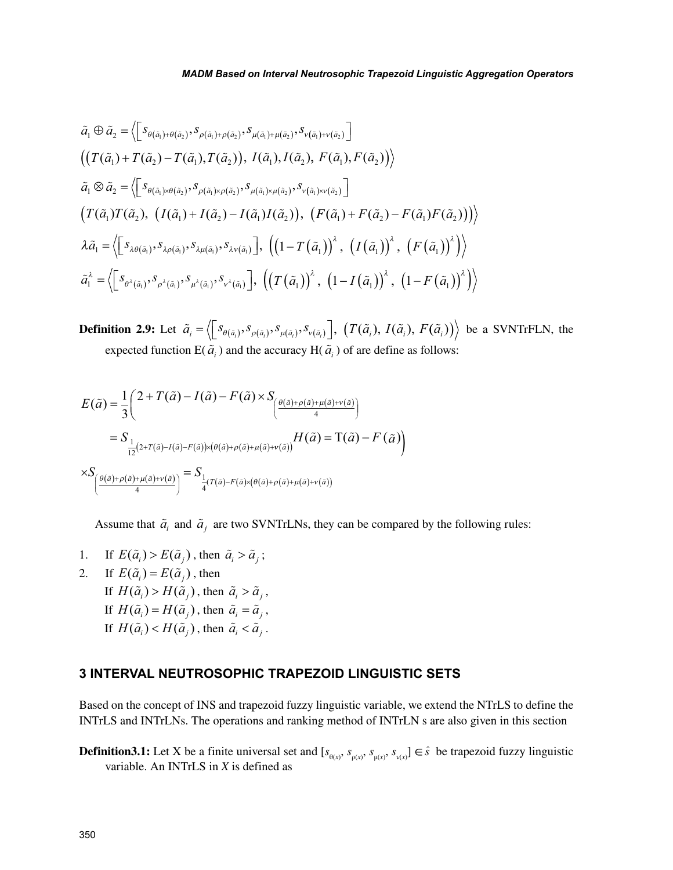$$
\tilde{a}_1 \oplus \tilde{a}_2 = \left\langle \left[ s_{\theta(\tilde{a}_1) + \theta(\tilde{a}_2)}, s_{\rho(\tilde{a}_1) + \rho(\tilde{a}_2)}, s_{\mu(\tilde{a}_1) + \mu(\tilde{a}_2)}, s_{\nu(\tilde{a}_1) + \nu(\tilde{a}_2)} \right] \right\rangle
$$
\n
$$
\left( \left( T(\tilde{a}_1) + T(\tilde{a}_2) - T(\tilde{a}_1), T(\tilde{a}_2) \right), I(\tilde{a}_1), I(\tilde{a}_2), F(\tilde{a}_1), F(\tilde{a}_2) \right) \right\rangle
$$
\n
$$
\tilde{a}_1 \otimes \tilde{a}_2 = \left\langle \left[ s_{\theta(\tilde{a}_1) \times \theta(\tilde{a}_2)}, s_{\rho(\tilde{a}_1) \times \rho(\tilde{a}_2)}, s_{\mu(\tilde{a}_1) \times \mu(\tilde{a}_2)}, s_{\nu(\tilde{a}_1) \times \nu(\tilde{a}_2)} \right] \right\rangle
$$
\n
$$
\left( T(\tilde{a}_1) T(\tilde{a}_2), \left( I(\tilde{a}_1) + I(\tilde{a}_2) - I(\tilde{a}_1) I(\tilde{a}_2) \right), \left( F(\tilde{a}_1) + F(\tilde{a}_2) - F(\tilde{a}_1) F(\tilde{a}_2) \right) \right\rangle
$$
\n
$$
\lambda \tilde{a}_1 = \left\langle \left[ s_{\lambda \theta(\tilde{a}_1)}, s_{\lambda \rho(\tilde{a}_1)}, s_{\lambda \mu(\tilde{a}_1)}, s_{\lambda \nu(\tilde{a}_1)} \right], \left( \left( 1 - T(\tilde{a}_1) \right)^{\lambda}, \left( I(\tilde{a}_1) \right)^{\lambda}, \left( F(\tilde{a}_1) \right)^{\lambda} \right) \right\rangle
$$
\n
$$
\tilde{a}_1^{\lambda} = \left\langle \left[ s_{\theta^{\lambda}(\tilde{a}_1)}, s_{\rho^{\lambda}(\tilde{a}_1)}, s_{\mu^{\lambda}(\tilde{a}_1)}, s_{\nu^{\lambda}(\tilde{a}_1)} \right], \left( \left( T(\tilde{a}_1) \right)^{\lambda}, \left( 1 - I(\tilde
$$

**Definition 2.9:** Let  $\tilde{a}_i = \langle \bigsqcup_{\delta(\tilde{a}_i)} s_{\rho(\tilde{a}_i)}, s_{\rho(\tilde{a}_i)}^{\dagger}, s_{\nu(\tilde{a}_i)}^{\dagger}, \bigsqcup_{\sigma} \langle T(\tilde{a}_i), I(\tilde{a}_i), F(\tilde{a}_i) \rangle \rangle$  be a SVNTrFLN, the expected function  $E(\tilde{a}_i)$  and the accuracy  $H(\tilde{a}_i)$  of are define as follows:

$$
E(\tilde{a}) = \frac{1}{3} \left( 2 + T(\tilde{a}) - I(\tilde{a}) - F(\tilde{a}) \times S_{\left(\frac{\theta(\tilde{a}) + \rho(\tilde{a}) + \mu(\tilde{a}) + \nu(\tilde{a})}{4}\right)} \right)
$$
  
\n
$$
= S_{\frac{1}{12}(2 + T(\tilde{a}) - I(\tilde{a}) - F(\tilde{a})) \times (\theta(\tilde{a}) + \rho(\tilde{a}) + \mu(\tilde{a}) + \nu(\tilde{a}))} H(\tilde{a}) = T(\tilde{a}) - F(\tilde{a})
$$
  
\n
$$
\times S_{\left(\frac{\theta(\tilde{a}) + \rho(\tilde{a}) + \mu(\tilde{a}) + \nu(\tilde{a})}{4}\right)} = S_{\frac{1}{4}(T(\tilde{a}) - F(\tilde{a}) \times (\theta(\tilde{a}) + \rho(\tilde{a}) + \mu(\tilde{a}) + \nu(\tilde{a}))}
$$

Assume that  $\tilde{a}_i$  and  $\tilde{a}_j$  are two SVNTrLNs, they can be compared by the following rules:

- 1. If  $E(\tilde{a}_i) > E(\tilde{a}_i)$ , then  $\tilde{a}_i > \tilde{a}_i$ ;
- 2. If  $E(\tilde{a}_i) = E(\tilde{a}_i)$ , then If  $H(\tilde{a}_i) > H(\tilde{a}_i)$ , then  $\tilde{a}_i > \tilde{a}_i$ , If  $H(\tilde{a}_i) = H(\tilde{a}_i)$ , then  $\tilde{a}_i = \tilde{a}_i$ , If  $H(\tilde{a}_i) < H(\tilde{a}_j)$ , then  $\tilde{a}_i < \tilde{a}_j$ .

# **3 INTERVAL NEUTROSOPHIC TRAPEZOID LINGUISTIC SETS**

Based on the concept of INS and trapezoid fuzzy linguistic variable, we extend the NTrLS to define the INTrLS and INTrLNs. The operations and ranking method of INTrLN s are also given in this section

**Definition3.1:** Let X be a finite universal set and  $[s_{\theta(x)}, s_{\rho(x)}, s_{\mu(x)}, s_{\nu(x)}] \in \hat{s}$  be trapezoid fuzzy linguistic variable. An INTrLS in *X* is defined as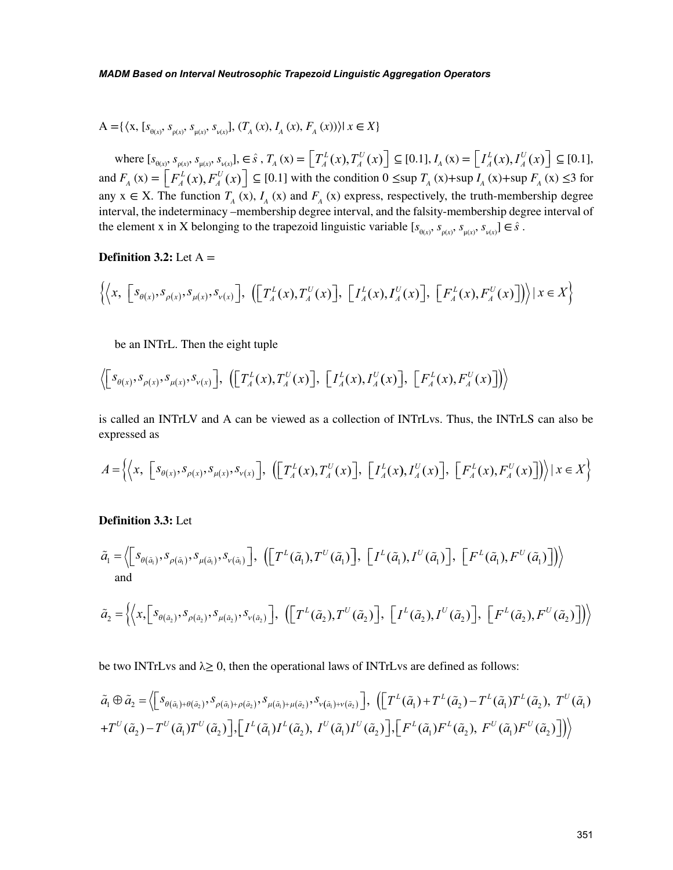$$
A = \{ \langle x, [s_{\theta(x)}, s_{\rho(x)}, s_{\mu(x)}, s_{\nu(x)}], (T_A(x), I_A(x), F_A(x)) \rangle | x \in X \}
$$

where  $[s_{\theta(x)}, s_{\rho(x)}, s_{\mu(x)}, s_{\nu(x)}], \in \hat{s}$ ,  $T_A(x) = \left[ T_A^L(x), T_A^U(x) \right]$  $\left[ T_A^L(x), T_A^U(x) \right] \subseteq [0.1], I_A(x) = \left[ I_A^L(x), I_A^U(x) \right]$  $\left[ I_A^L(x), I_A^U(x) \right] \subseteq [0.1],$ and  $F_A(x) = \left[ F_A^L(x), F_A^U(x) \right]$  $\left[ F_A^L(x), F_A^U(x) \right] \subseteq [0.1]$  with the condition  $0 \leq \sup T_A(x) + \sup I_A(x) + \sup F_A(x) \leq 3$  for any  $x \in X$ . The function  $T_A(x)$ ,  $I_A(x)$  and  $F_A(x)$  express, respectively, the truth-membership degree interval, the indeterminacy –membership degree interval, and the falsity-membership degree interval of the element x in X belonging to the trapezoid linguistic variable  $[s_{\theta(x)}, s_{\rho(x)}, s_{\mu(x)}, s_{\nu(x)}] \in \hat{s}$ .

**Definition 3.2:** Let  $A =$ 

$$
\left\{ \left\langle x, \left[ s_{\theta(x)}, s_{\rho(x)}, s_{\mu(x)}, s_{\nu(x)} \right], \left( \left[ T_A^L(x), T_A^U(x) \right], \left[ T_A^L(x), T_A^U(x) \right], \left[ F_A^L(x), F_A^U(x) \right] \right) \right\rangle | x \in X \right\}
$$

be an INTrL. Then the eight tuple

$$
\left\langle \left[ s_{\theta(x)}, s_{\rho(x)}, s_{\mu(x)}, s_{\nu(x)} \right], \left( \left[ T_A^L(x), T_A^U(x) \right], \left[ T_A^L(x), T_A^U(x) \right], \left[ F_A^L(x), F_A^U(x) \right] \right) \right\rangle
$$

is called an INTrLV and A can be viewed as a collection of INTrLvs. Thus, the INTrLS can also be expressed as

$$
A = \left\{ \left\langle x, \left[ S_{\theta(x)}, S_{\rho(x)}, S_{\mu(x)}, S_{\nu(x)} \right], \left( \left[ T_A^L(x), T_A^U(x) \right], \left[ T_A^L(x), T_A^U(x) \right], \left[ F_A^L(x), F_A^U(x) \right] \right) \right\rangle \mid x \in X \right\}
$$

#### **Definition 3.3:** Let

$$
\tilde{a}_1 = \left\langle \left[ s_{\theta(\tilde{a}_1)}, s_{\rho(\tilde{a}_1)}, s_{\mu(\tilde{a}_1)}, s_{\nu(\tilde{a}_1)} \right], \left( \left[ T^L(\tilde{a}_1), T^U(\tilde{a}_1) \right], \left[ I^L(\tilde{a}_1), I^U(\tilde{a}_1) \right], \left[ F^L(\tilde{a}_1), F^U(\tilde{a}_1) \right] \right) \right\rangle
$$
\nand

$$
\tilde{a}_2 = \left\langle \left\langle x, \left[ s_{\theta(\tilde{a}_2)}, s_{\rho(\tilde{a}_2)}, s_{\mu(\tilde{a}_2)}, s_{\nu(\tilde{a}_2)} \right], \left( \left[ T^L(\tilde{a}_2), T^U(\tilde{a}_2) \right], \left[ T^L(\tilde{a}_2), T^U(\tilde{a}_2) \right], \left[ F^L(\tilde{a}_2), F^U(\tilde{a}_2) \right] \right) \right\rangle
$$

be two INTrLvs and  $\lambda \geq 0$ , then the operational laws of INTrLvs are defined as follows:

$$
\tilde{a}_{1} \oplus \tilde{a}_{2} = \left\langle \left[ s_{\theta(\tilde{a}_{1}) + \theta(\tilde{a}_{2})}, s_{\rho(\tilde{a}_{1}) + \rho(\tilde{a}_{2})}, s_{\mu(\tilde{a}_{1}) + \mu(\tilde{a}_{2})}, s_{\nu(\tilde{a}_{1}) + \nu(\tilde{a}_{2})} \right], \left( \left[ T^{L}(\tilde{a}_{1}) + T^{L}(\tilde{a}_{2}) - T^{L}(\tilde{a}_{1}) T^{L}(\tilde{a}_{2}), T^{U}(\tilde{a}_{1}) \right] \right\rangle
$$
  
+
$$
T^{U}(\tilde{a}_{2}) - T^{U}(\tilde{a}_{1}) T^{U}(\tilde{a}_{2}) \right], \left[ I^{L}(\tilde{a}_{1}) I^{L}(\tilde{a}_{2}), I^{U}(\tilde{a}_{1}) T^{U}(\tilde{a}_{2}) \right], \left[ F^{L}(\tilde{a}_{1}) F^{L}(\tilde{a}_{2}), F^{U}(\tilde{a}_{1}) F^{U}(\tilde{a}_{2}) \right] \right\rangle
$$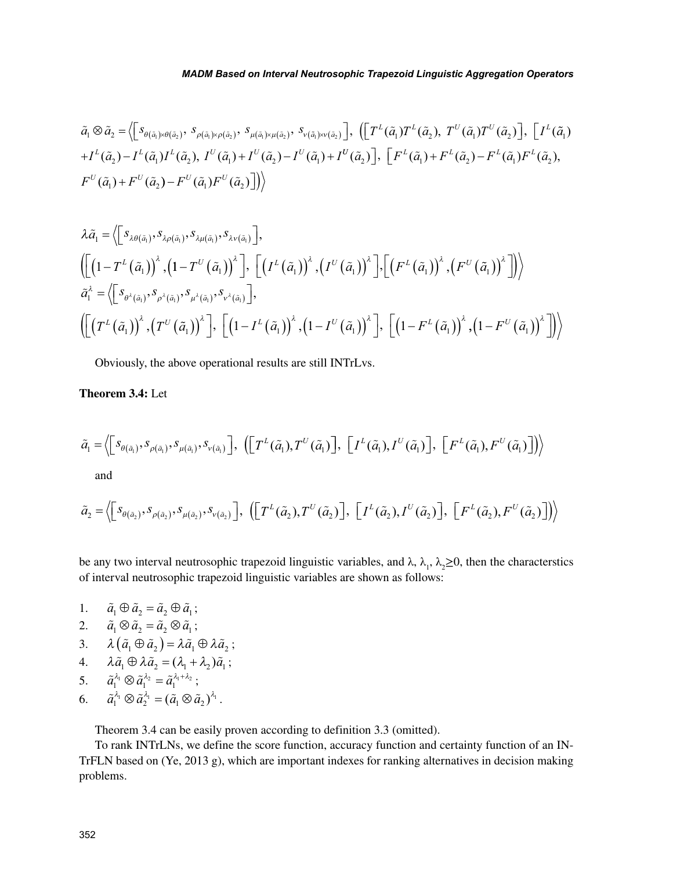$$
\tilde{a}_{1} \otimes \tilde{a}_{2} = \left\langle \left[ S_{\theta(\tilde{a}_{1}) \times \theta(\tilde{a}_{2})}, \ S_{\rho(\tilde{a}_{1}) \times \rho(\tilde{a}_{2})}, \ S_{\mu(\tilde{a}_{1}) \times \mu(\tilde{a}_{2})}, \ S_{\nu(\tilde{a}_{1}) \times \nu(\tilde{a}_{2})} \right], \left( \left[ T^{L}(\tilde{a}_{1}) T^{L}(\tilde{a}_{2}), T^{U}(\tilde{a}_{1}) T^{U}(\tilde{a}_{2}) \right], \left[ I^{L}(\tilde{a}_{1}) T^{L}(\tilde{a}_{1}) T^{L}(\tilde{a}_{2}) \right], \left[ I^{L}(\tilde{a}_{1}) T^{L}(\tilde{a}_{1}) T^{L}(\tilde{a}_{2}) \right], \left[ I^{L}(\tilde{a}_{1}) T^{L}(\tilde{a}_{1}) T^{L}(\tilde{a}_{2}) \right], \left[ I^{L}(\tilde{a}_{1}) T^{L}(\tilde{a}_{1}) T^{L}(\tilde{a}_{2}) \right], \left[ I^{L}(\tilde{a}_{1}) T^{L}(\tilde{a}_{1}) T^{L}(\tilde{a}_{2}) \right],
$$
\n
$$
F^{U}(\tilde{a}_{1}) + F^{U}(\tilde{a}_{2}) - F^{U}(\tilde{a}_{1}) F^{U}(\tilde{a}_{2}) \right] \rangle
$$

$$
\lambda \tilde{a}_{1} = \left\langle \left[ s_{\lambda \theta(\tilde{a}_{1})}, s_{\lambda \rho(\tilde{a}_{1})}, s_{\lambda \mu(\tilde{a}_{1})}, s_{\lambda \nu(\tilde{a}_{1})} \right], \right\rangle
$$
\n
$$
\left\langle \left[ \left( 1 - T^{\mu}(\tilde{a}_{1}) \right)^{\lambda}, \left( 1 - T^{\nu}(\tilde{a}_{1}) \right)^{\lambda} \right], \left[ \left( I^{\mu}(\tilde{a}_{1}) \right)^{\lambda}, \left( I^{\nu}(\tilde{a}_{1}) \right)^{\lambda} \right], \left[ \left( F^{\mu}(\tilde{a}_{1}) \right)^{\lambda}, \left( F^{\nu}(\tilde{a}_{1}) \right)^{\lambda} \right] \right\rangle \right\rangle
$$
\n
$$
\tilde{a}_{1}^{\lambda} = \left\langle \left[ s_{\theta^{\lambda}(\tilde{a}_{1})}, s_{\rho^{\lambda}(\tilde{a}_{1})}, s_{\mu^{\lambda}(\tilde{a}_{1})}, s_{\nu^{\lambda}(\tilde{a}_{1})} \right], \left[ \left( I - I^{\mu}(\tilde{a}_{1}) \right)^{\lambda}, \left( I - I^{\nu}(\tilde{a}_{1}) \right)^{\lambda} \right], \left[ \left( I - F^{\mu}(\tilde{a}_{1}) \right)^{\lambda}, \left( I - F^{\nu}(\tilde{a}_{1}) \right)^{\lambda} \right] \right\rangle
$$

Obviously, the above operational results are still INTrLvs.

### **Theorem 3.4:** Let

$$
\tilde{a}_1 = \left\langle \left[ s_{\theta(\tilde{a}_1)}, s_{\rho(\tilde{a}_1)}, s_{\mu(\tilde{a}_1)}, s_{\nu(\tilde{a}_1)} \right], \left( \left[ T^L(\tilde{a}_1), T^U(\tilde{a}_1) \right], \left[ I^L(\tilde{a}_1), I^U(\tilde{a}_1) \right], \left[ F^L(\tilde{a}_1), F^U(\tilde{a}_1) \right] \right\rangle \right\rangle
$$
\nand

$$
\tilde{a}_2 = \left\langle \left[ s_{\theta(\tilde{a}_2)}, s_{\rho(\tilde{a}_2)}, s_{\mu(\tilde{a}_2)}, s_{\nu(\tilde{a}_2)} \right], \left( \left[ T^L(\tilde{a}_2), T^U(\tilde{a}_2) \right], \left[ I^L(\tilde{a}_2), I^U(\tilde{a}_2) \right], \left[ F^L(\tilde{a}_2), F^U(\tilde{a}_2) \right] \right\rangle \right\rangle
$$

be any two interval neutrosophic trapezoid linguistic variables, and  $\lambda$ ,  $\lambda_1$ ,  $\lambda_2 \ge 0$ , then the characterstics of interval neutrosophic trapezoid linguistic variables are shown as follows:

- 1.  $\tilde{a}_1 \oplus \tilde{a}_2 = \tilde{a}_2 \oplus \tilde{a}_1;$
- 2.  $\tilde{a}_1 \otimes \tilde{a}_2 = \tilde{a}_2 \otimes \tilde{a}_1$ ;
- 3.  $\lambda(\tilde{a}_1 \oplus \tilde{a}_2) = \lambda \tilde{a}_1 \oplus \lambda \tilde{a}_2$ ;
- 4.  $\lambda \tilde{a}_1 \oplus \lambda \tilde{a}_2 = (\lambda_1 + \lambda_2) \tilde{a}_1;$
- 5.  $\tilde{a}_1^{\lambda_1} \otimes \tilde{a}_1^{\lambda_2} = \tilde{a}_1^{\lambda_1 + \lambda_2}$ ;
- 6.  $\tilde{a}_1^{\lambda_1} \otimes \tilde{a}_2^{\lambda_1} = (\tilde{a}_1 \otimes \tilde{a}_2)^{\lambda_1}.$

Theorem 3.4 can be easily proven according to definition 3.3 (omitted).

To rank INTrLNs, we define the score function, accuracy function and certainty function of an IN-TrFLN based on (Ye, 2013 g), which are important indexes for ranking alternatives in decision making problems.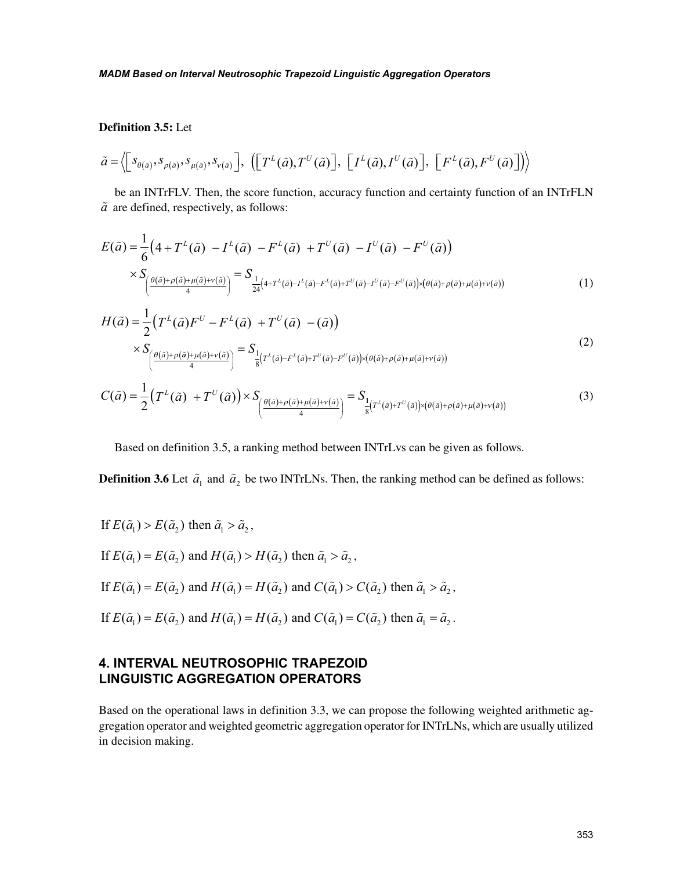## **Definition 3.5:** Let

$$
\tilde{a} = \left\langle \left[ s_{\theta(\tilde{a})}, s_{\rho(\tilde{a})}, s_{\mu(\tilde{a})}, s_{\nu(\tilde{a})} \right], \left( \left[ T^L(\tilde{a}), T^U(\tilde{a}) \right], \left[ I^L(\tilde{a}), I^U(\tilde{a}) \right], \left[ F^L(\tilde{a}), F^U(\tilde{a}) \right] \right\rangle \right\rangle
$$

be an INTrFLV. Then, the score function, accuracy function and certainty function of an INTrFLN  $\tilde{a}$  are defined, respectively, as follows:

$$
E(\tilde{a}) = \frac{1}{6} \left( 4 + T^{L}(\tilde{a}) - I^{L}(\tilde{a}) - F^{L}(\tilde{a}) + T^{U}(\tilde{a}) - I^{U}(\tilde{a}) - F^{U}(\tilde{a}) \right)
$$
  
\$\times S\_{\left( \frac{\theta(\tilde{a}) + \rho(\tilde{a}) + \mu(\tilde{a}) + \nu(\tilde{a})}{4} \right)} = S\_{\frac{1}{24} \left( 4 + T^{L}(\tilde{a}) - I^{L}(\tilde{a}) - F^{L}(\tilde{a}) + T^{U}(\tilde{a}) - F^{U}(\tilde{a}) \right) \times \left( \theta(\tilde{a}) + \rho(\tilde{a}) + \mu(\tilde{a}) + \nu(\tilde{a}) \right) \$} \tag{1}

$$
H(\tilde{a}) = \frac{1}{2} \left( T^{L}(\tilde{a}) F^{U} - F^{L}(\tilde{a}) + T^{U}(\tilde{a}) - (\tilde{a}) \right)
$$
  
\n
$$
\times S_{\left( \frac{\theta(\tilde{a}) + \rho(\tilde{a}) + \mu(\tilde{a}) + \nu(\tilde{a})}{4} \right)} = S_{\frac{1}{8} \left( T^{L}(\tilde{a}) - F^{L}(\tilde{a}) + T^{U}(\tilde{a}) - F^{U}(\tilde{a}) \right) \times \left( \theta(\tilde{a}) + \rho(\tilde{a}) + \mu(\tilde{a}) + \nu(\tilde{a}) \right)}
$$
  
\n
$$
C(\tilde{a}) = \frac{1}{2} \left( T^{L}(\tilde{a}) + T^{U}(\tilde{a}) \right) \times S_{\left( \frac{\theta(\tilde{a}) + \rho(\tilde{a}) + \mu(\tilde{a}) + \nu(\tilde{a})}{4} \right)} = S_{\frac{1}{8} \left( T^{L}(\tilde{a}) + T^{U}(\tilde{a}) \right) \times \left( \theta(\tilde{a}) + \rho(\tilde{a}) + \mu(\tilde{a}) + \nu(\tilde{a}) \right)}
$$
\n(3)

Based on definition 3.5, a ranking method between INTrLvs can be given as follows.

**Definition 3.6** Let  $\tilde{a}_1$  and  $\tilde{a}_2$  be two INTrLNs. Then, the ranking method can be defined as follows:

If 
$$
E(\tilde{a}_1) > E(\tilde{a}_2)
$$
 then  $\tilde{a}_1 > \tilde{a}_2$ ,

If  $E(\tilde{a}_1) = E(\tilde{a}_2)$  and  $H(\tilde{a}_1) > H(\tilde{a}_2)$  then  $\tilde{a}_1 > \tilde{a}_2$ ,

If 
$$
E(\tilde{a}_1) = E(\tilde{a}_2)
$$
 and  $H(\tilde{a}_1) = H(\tilde{a}_2)$  and  $C(\tilde{a}_1) > C(\tilde{a}_2)$  then  $\tilde{a}_1 > \tilde{a}_2$ ,

If  $E(\tilde{a}_1) = E(\tilde{a}_2)$  and  $H(\tilde{a}_1) = H(\tilde{a}_2)$  and  $C(\tilde{a}_1) = C(\tilde{a}_2)$  then  $\tilde{a}_1 = \tilde{a}_2$ .

# **4. INTERVAL NEUTROSOPHIC TRAPEZOID LINGUISTIC AGGREGATION OPERATORS**

Based on the operational laws in definition 3.3, we can propose the following weighted arithmetic aggregation operator and weighted geometric aggregation operator for INTrLNs, which are usually utilized in decision making.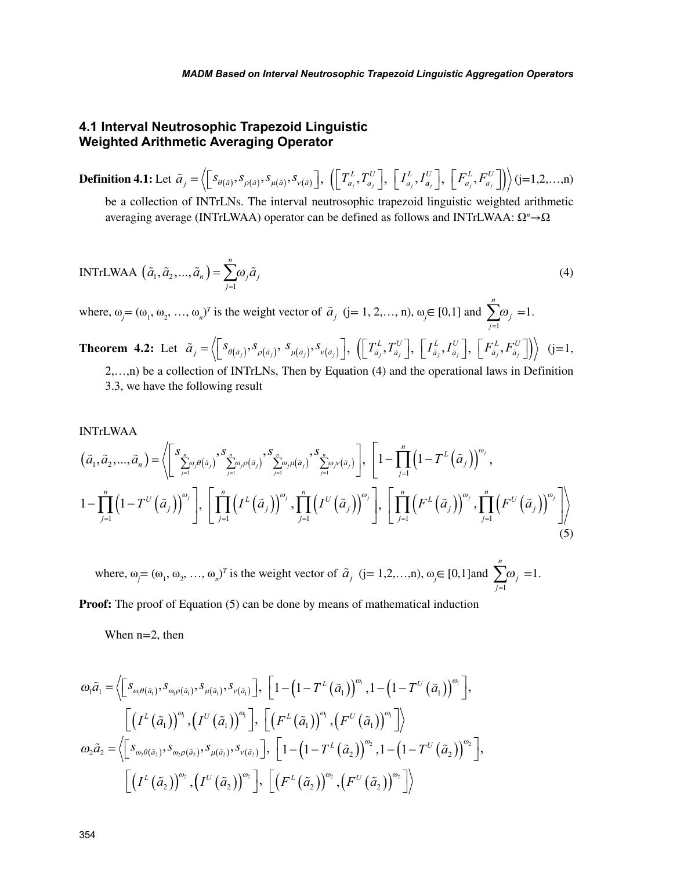# **4.1 Interval Neutrosophic Trapezoid Linguistic Weighted Arithmetic Averaging Operator**

 $\textbf{Definition 4.1:} \text{Let } \widetilde{a}_{\overline{j}} = \left\langle \begin{bmatrix} s_{\theta(\widetilde{a})}, s_{\rho(\widetilde{a})}, s_{\mu(\widetilde{a})}, s_{\nu(\widetilde{a})} \end{bmatrix}, \ \left( \begin{bmatrix} T^L_{a_{\overline{j}}} , T^U_{a_{\overline{j}}} \end{bmatrix}, \ \begin{bmatrix} I^L_{a_{\overline{j}}} , I^L_{a_{\overline{j}}} \end{bmatrix} \right)$ *a U a*  $\mathcal{L} = \left\langle \left[ \begin{matrix} S_{\theta(\tilde{a})}, S_{\rho(\tilde{a})}, S_{\mu(\tilde{a})}, S_{\nu(\tilde{a})} \end{matrix} \right], \right. \left. \left( \left\lfloor \begin{matrix} T_{a_j}^L, T_{a_j}^U \end{matrix} \right], \right. \left. \left\lfloor \begin{matrix} I_{a_j}^L, I_{a_j}^U \end{matrix} \right\rfloor \right\rangle \right\rangle$ *a L a U*  $\left( \left[ T_{a_j}^L, T_{a_j}^U \right], \left[ I_{a_j}^L, I_{a_j}^U \right], \left[ F_{a_j}^L, F_{a_j}^U \right] \right) \right)$  (j=1,2,...,n) be a collection of INTrLNs. The interval neutrosophic trapezoid linguistic weighted arithmetic

averaging average (INTrLWAA) operator can be defined as follows and INTrLWAA: Ω*<sup>n</sup>* →Ω

INTrLWAA 
$$
(\tilde{a}_1, \tilde{a}_2, ..., \tilde{a}_n) = \sum_{j=1}^n \omega_j \tilde{a}_j
$$
 (4)

where,  $\omega_j = (\omega_1, \omega_2, ..., \omega_n)^T$  is the weight vector of  $\tilde{a}_j$  (j= 1, 2,…, n),  $\omega_j \in [0,1]$  and *j n j*  $\sum_{j=1}$  $\omega_i = 1$ .

**Theorem 4.2:** Let 
$$
\tilde{a}_{j} = \langle \left[ S_{\theta(\tilde{a}_{j})}, S_{\rho(\tilde{a}_{j})}, S_{\mu(\tilde{a}_{j})}, S_{\nu(\tilde{a}_{j})} \right], \left( \left[ T_{\tilde{a}_{j}}^{L}, T_{\tilde{a}_{j}}^{U} \right], \left[ I_{\tilde{a}_{j}}^{L}, I_{\tilde{a}_{j}}^{U} \right], \left[ F_{\tilde{a}_{j}}^{L}, F_{\tilde{a}_{j}}^{U} \right] \right) \rangle
$$
 (j=1, 2,...,n) be a collection of INTrLNs, Then by Equation (4) and the operational laws in Definition 3.3, we have the following result

INTrLWAA  
\n
$$
(\tilde{a}_1, \tilde{a}_2, ..., \tilde{a}_n) = \left\langle \sum_{j=1}^S \sum_{j=1}^n \omega_j \theta(\tilde{a}_j) \sum_{j=1}^S \sum_{j=1}^n \omega_j \mu(\tilde{a}_j) \sum_{j=1}^S \sum_{j=1}^n \omega_j \nu(\tilde{a}_j) \right\rangle, \left[ 1 - \prod_{j=1}^n \left( 1 - T^L(\tilde{a}_j) \right)^{\omega_j}, \right]
$$
\n
$$
1 - \prod_{j=1}^n \left( 1 - T^U(\tilde{a}_j) \right)^{\omega_j}, \left[ \prod_{j=1}^n \left( I^L(\tilde{a}_j) \right)^{\omega_j}, \prod_{j=1}^n \left( I^U(\tilde{a}_j) \right)^{\omega_j} \right], \left[ \prod_{j=1}^n \left( F^L(\tilde{a}_j) \right)^{\omega_j}, \prod_{j=1}^n \left( F^U(\tilde{a}_j) \right)^{\omega_j} \right] \right\rangle
$$
\n(5)

where,  $\omega_j = (\omega_1, \omega_2, ..., \omega_n)^T$  is the weight vector of  $\tilde{a}_j$  (j= 1,2,…,n),  $\omega_j \in [0,1]$  and *j n j*  $\sum_{j=1}$  $\omega_i = 1$ .

**Proof:** The proof of Equation (5) can be done by means of mathematical induction

When n=2, then

$$
\omega_{\mathbf{l}}\tilde{a}_{\mathbf{l}} = \left\langle \begin{bmatrix} s_{\omega_{\mathbf{l}}\theta(\tilde{a}_{\mathbf{l}})}, s_{\omega_{\mathbf{l}}\rho(\tilde{a}_{\mathbf{l}})}, s_{\nu(\tilde{a}_{\mathbf{l}})}, s_{\nu(\tilde{a}_{\mathbf{l}})} \end{bmatrix}, \begin{bmatrix} 1 - \left(1 - T^L(\tilde{a}_{\mathbf{l}})\right)^{\omega_{\mathbf{l}}}, 1 - \left(1 - T^U(\tilde{a}_{\mathbf{l}})\right)^{\omega_{\mathbf{l}}} \end{bmatrix}, \begin{bmatrix} \left(I^L(\tilde{a}_{\mathbf{l}})\right)^{\omega_{\mathbf{l}}}, \left(I^U(\tilde{a}_{\mathbf{l}})\right)^{\omega_{\mathbf{l}}}, \left[\left(F^L(\tilde{a}_{\mathbf{l}})\right)^{\omega_{\mathbf{l}}}, \left(F^U(\tilde{a}_{\mathbf{l}})\right)^{\omega_{\mathbf{l}}}\right] \end{bmatrix}
$$

$$
\omega_{\mathbf{l}}\tilde{a}_{\mathbf{l}} = \left\langle \begin{bmatrix} s_{\omega_{\mathbf{l}}\theta(\tilde{a}_{\mathbf{l}})}, s_{\omega_{\mathbf{l}}\rho(\tilde{a}_{\mathbf{l}})}, s_{\nu(\tilde{a}_{\mathbf{l}})}, s_{\nu(\tilde{a}_{\mathbf{l}})} \end{bmatrix}, \begin{bmatrix} 1 - \left(1 - T^L(\tilde{a}_{\mathbf{l}})\right)^{\omega_{\mathbf{l}}}, 1 - \left(1 - T^U(\tilde{a}_{\mathbf{l}})\right)^{\omega_{\mathbf{l}}}\end{bmatrix}, \begin{bmatrix} \left(I^L(\tilde{a}_{\mathbf{l}})\right)^{\omega_{\mathbf{l}}}, \left[\left(F^L(\tilde{a}_{\mathbf{l}})\right)^{\omega_{\mathbf{l}}}, \left(F^U(\tilde{a}_{\mathbf{l}})\right)^{\omega_{\mathbf{l}}}\end{bmatrix} \right\rangle
$$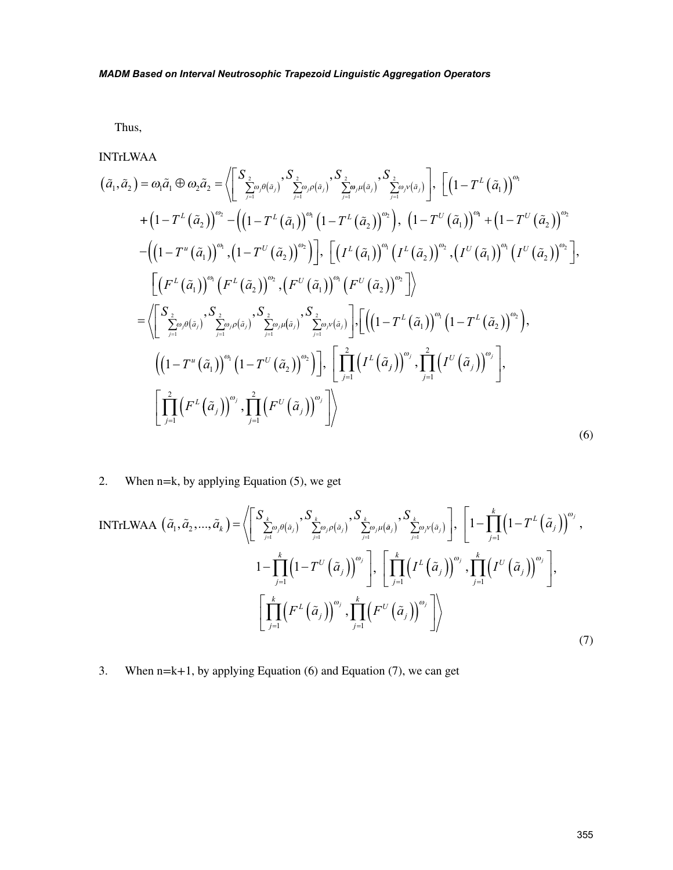Thus,

INTrLWAA

$$
(\tilde{a}_{1}, \tilde{a}_{2}) = \omega_{1}\tilde{a}_{1} \oplus \omega_{2}\tilde{a}_{2} = \left\langle \left[ \sum_{j=1}^{S_{2}} \omega_{j}\theta(\tilde{a}_{j}) \sum_{j=1}^{S_{2}} \omega_{j}\rho(\tilde{a}_{j}) \sum_{j=1}^{S_{2}} \omega_{j}\mu(\tilde{a}_{j}) \right] , \left[ \left(1 - T^{L}(\tilde{a}_{1})\right)^{\omega_{1}} + \left(1 - T^{L}(\tilde{a}_{2})\right)^{\omega_{2}} - \left(\left(1 - T^{L}(\tilde{a}_{1})\right)^{\omega_{1}}(1 - T^{L}(\tilde{a}_{2})\right)^{\omega_{2}} \right) , \left(1 - T^{U}(\tilde{a}_{1})\right)^{\omega_{1}} + \left(1 - T^{U}(\tilde{a}_{2})\right)^{\omega_{2}} - \left(\left(1 - T^{L}(\tilde{a}_{1})\right)^{\omega_{1}} \left(1 - T^{L}(\tilde{a}_{2})\right)^{\omega_{2}}\right) , \left[ \left(1^{L}(\tilde{a}_{1})\right)^{\omega_{1}}(1 - T^{U}(\tilde{a}_{2})\right)^{\omega_{2}} \right] , \left[ \left(1^{L}(\tilde{a}_{1})\right)^{\omega_{1}}(1 - T^{U}(\tilde{a}_{2})\right)^{\omega_{2}} \right] ,
$$
  

$$
= \left\langle \left[ F^{L}(\tilde{a}_{1}) \right)^{\omega_{1}}(F^{L}(\tilde{a}_{2}) \right)^{\omega_{2}} , \left( F^{U}(\tilde{a}_{1}) \right)^{\omega_{1}}(F^{U}(\tilde{a}_{2}) \right)^{\omega_{2}} \right\rangle
$$
  

$$
= \left\langle \left[ \sum_{j=1}^{S_{2}} \omega_{j}\theta(\tilde{a}_{j}) \sum_{j=1}^{S_{2}} \omega_{j}\rho(\tilde{a}_{j}) \sum_{j=1}^{S_{2}} \omega_{j}\mu(\tilde{a}_{j}) \sum_{j=1}^{S_{2}} \omega_{j}\nu(\tilde{a}_{j}) \right] , \left[ \left(1 - T^{L}(\tilde{a}_{1}) \right)^{\omega_{1}}(1 - T^{L}(\tilde{a}_{2}) \right)^{\omega_{2}} \right) ,
$$
  

$$
\left( \
$$

2. When n=k, by applying Equation (5), we get

INTrLWAA 
$$
(\tilde{a}_1, \tilde{a}_2, ..., \tilde{a}_k) = \left\langle \left[ \sum_{j=1}^S \sum_{j=1}^k \omega_j \theta(\tilde{a}_j) \sum_{j=1}^k \omega_j \rho(\tilde{a}_j) \sum_{j=1}^S \sum_{j=1}^k \omega_j \nu(\tilde{a}_j) \right], \sum_{j=1}^S \left[ 1 - \prod_{j=1}^k \left( 1 - T^L \left( \tilde{a}_j \right) \right)^{\omega_j}, \right] \right\}
$$
  
\n
$$
1 - \prod_{j=1}^k \left( 1 - T^U \left( \tilde{a}_j \right) \right)^{\omega_j}, \left[ \prod_{j=1}^k \left( T^L \left( \tilde{a}_j \right) \right)^{\omega_j}, \prod_{j=1}^k \left( T^U \left( \tilde{a}_j \right) \right)^{\omega_j} \right],
$$
\n
$$
\left[ \prod_{j=1}^k \left( F^L \left( \tilde{a}_j \right) \right)^{\omega_j}, \prod_{j=1}^k \left( F^U \left( \tilde{a}_j \right) \right)^{\omega_j} \right] \right\rangle
$$
\n(7)

3. When  $n=k+1$ , by applying Equation (6) and Equation (7), we can get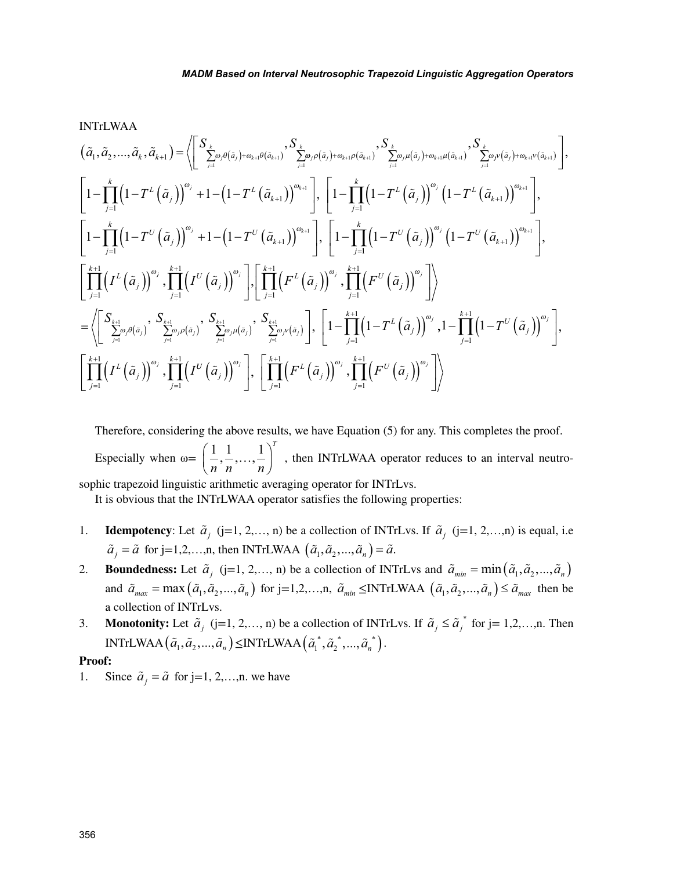INTrLWAA

*a a a a S S k k a aj k j j k k j k* 1 2 1 1 1 1 1 , ,..., , , ( <sup>+</sup> ) <sup>=</sup> <sup>∑</sup> ( )+ ( ) <sup>∑</sup> <sup>=</sup> + + = <sup>ω</sup> <sup>θ</sup> <sup>ω</sup> <sup>θ</sup> <sup>ω</sup> <sup>ρ</sup>*j j* <sup>ω</sup> <sup>ρ</sup> *k k* <sup>ω</sup> <sup>µ</sup> <sup>ω</sup> <sup>µ</sup> <sup>ω</sup> *j k j j k k j k a a a a S S* ( ) + + + ( ) ( ) + ( ) = + + = 1 1 ∑ ∑ 1 1 1 1 , , *j j k k j a a j k L j <sup>L</sup> T T <sup>k</sup> a a* ν ω ν ( )+ ( ) = + + − − ∏( ) ( ) + − <sup>−</sup> 1 1 1 1 1 1 1 , + = ( ) ( ) − − ( ) ( ) ( ) − ( ) <sup>+</sup> + + <sup>1</sup> ∏ 1 1 1 1 1 1 1 <sup>ω</sup>*<sup>k</sup>* <sup>ω</sup> *<sup>j</sup>* <sup>ω</sup>*<sup>k</sup> j k L j <sup>L</sup> <sup>T</sup> <sup>T</sup> <sup>k</sup>* , *<sup>a</sup> <sup>a</sup>* + − − − ( ) ( ) ( ) − ( ) − = + = ∏ <sup>+</sup> , 1 1 1 1 , 1 1 1 1 *j k U j U k j T a T a <sup>j</sup> <sup>k</sup>* <sup>ω</sup> <sup>ω</sup> 1 1 1 1 1 1 <sup>1</sup> *k U j U k j k L j T T I a a a j k* ∏ ∏ ( ) − ( ) ( ) − ( ) ( ) ( ) <sup>+</sup> = + + ω ω ω , *j j j j k U j j k L j j k <sup>U</sup>* , *I a* , *F a* , *F a* = + = + = + ∏ ∏ ( ) ( ) ( ) ( ) ∏ 1 1 1 1 1 1 <sup>ω</sup> <sup>ω</sup> *j a a j j k j j j k j j j S S Sk* ( ) ( ) ∑ ∑ = = + = + = + ( ) ( ) ω <sup>ω</sup> θ <sup>ω</sup> ρ 1 1 1 1 1 1 , , ∑ ∑ − − ( ) ( ) ( ) ( ) <sup>=</sup> + = + <sup>ω</sup> <sup>µ</sup> <sup>ω</sup> <sup>ν</sup> ∏ <sup>ω</sup> *j j j k j j j a a j k L j S T a* , , 1 1 1 1 1 1 , , 1 1 , 1 1 1 1 1 1 − − ( ) ( ) ( ) ( ) = + = + = + ∏ ∏ ∏ *j k U j j k L j j k T I I a a j j* ω <sup>ω</sup> *U j j k L j j k U <sup>j</sup> a F a F a <sup>j</sup> <sup>j</sup> <sup>j</sup>* ( ) ( ) ( ) ( ) ( ) ( ) <sup>=</sup> + = + ∏ ∏ <sup>ω</sup> <sup>ω</sup> <sup>ω</sup> , , 1 1 1 1 

Therefore, considering the above results, we have Equation (5) for any. This completes the proof. Especially when  $\omega = \left( \frac{1}{2}, \frac{1}{2}, \ldots, \frac{1}{n} \right)$ *n n n*  $\left( \frac{1}{2}, \frac{1}{2}, \ldots, \frac{1}{n} \right)^{T}$  $\left(\frac{1}{n}, \frac{1}{n}, \ldots, \frac{1}{n}\right)^t$ , then INTrLWAA operator reduces to an interval neutrosophic trapezoid linguistic arithmetic averaging operator for INTrLvs.

It is obvious that the INTrLWAA operator satisfies the following properties:

- 1. **Idempotency**: Let  $\tilde{a}_j$  (j=1, 2,…, n) be a collection of INTrLvs. If  $\tilde{a}_j$  (j=1, 2,…,n) is equal, i.e  $\tilde{a}_i = \tilde{a}$  for j=1,2,...,n, then INTrLWAA  $(\tilde{a}_1, \tilde{a}_2, ..., \tilde{a}_n) = \tilde{a}$ .
- 2. **Boundedness:** Let  $\tilde{a}_j$  (j=1, 2,..., n) be a collection of INTrLvs and  $\tilde{a}_{min} = \min(\tilde{a}_1, \tilde{a}_2, \ldots, \tilde{a}_n)$ and  $\tilde{a}_{max} = \max(\tilde{a}_1, \tilde{a}_2, \ldots, \tilde{a}_n)$  for j=1,2,...,n,  $\tilde{a}_{min} \leq \text{INTrLWAA}$   $(\tilde{a}_1, \tilde{a}_2, \ldots, \tilde{a}_n) \leq \tilde{a}_{max}$  then be a collection of INTrLvs.
- 3. **Monotonity:** Let  $\tilde{a}_j$  (j=1, 2,..., n) be a collection of INTrLvs. If  $\tilde{a}_j \leq \tilde{a}_j^*$  for j= 1,2,...,n. Then  $\text{INTrLWAA}\left(\tilde{a}_1, \tilde{a}_2, ..., \tilde{a}_n\right) \leq \text{INTrLWAA}\left(\tilde{a}_1^*, \tilde{a}_2^*, ..., \tilde{a}_n^*\right).$

#### **Proof:**

1. Since  $\tilde{a}_i = \tilde{a}$  for j=1, 2,...,n. we have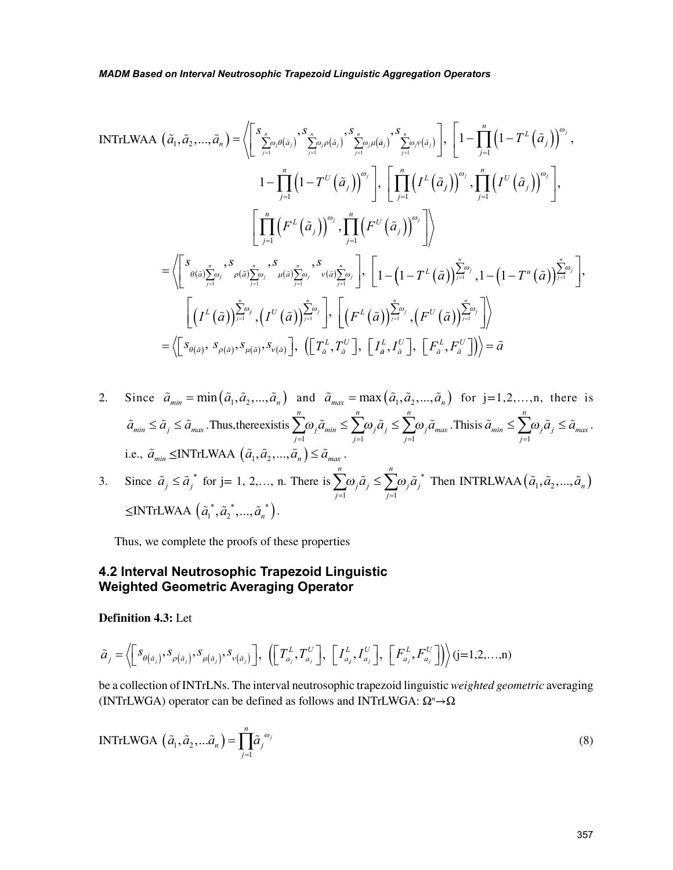INTrLWAA 
$$
(\tilde{a}_1, \tilde{a}_2, ..., \tilde{a}_n) = \left\langle \left[ \sum_{j=1}^{S_n} \delta_{\beta}(\tilde{a}_j) \sum_{j=1}^{S_n} \delta_{\beta}(\tilde{a}_j) \sum_{j=1}^{S_n} \delta_{\beta}(\tilde{a}_j) \sum_{j=1}^{S_n} \delta_{\beta}(\tilde{a}_j) \right], \left[ 1 - \prod_{j=1}^n \left( 1 - T^L (\tilde{a}_j) \right)^{\omega_j}, \right]
$$
  
\n
$$
1 - \prod_{j=1}^n \left( 1 - T^U (\tilde{a}_j) \right)^{\omega_j} \right], \left[ \prod_{j=1}^n \left( I^L (\tilde{a}_j) \right)^{\omega_j}, \prod_{j=1}^n \left( I^U (\tilde{a}_j) \right)^{\omega_j} \right],
$$
  
\n
$$
\left[ \prod_{j=1}^n \left( F^L (\tilde{a}_j) \right)^{\omega_j}, \prod_{j=1}^n \left( F^U (\tilde{a}_j) \right)^{\omega_j} \right] \right\rangle
$$
  
\n
$$
= \left\langle \left[ \delta_{\theta(\tilde{a})} \sum_{j=1}^n \delta_{\rho(\tilde{a})} \sum_{j=1}^n \delta_{\rho(\tilde{a})} \sum_{j=1}^n \delta_{\beta}(\tilde{a}) \sum_{j=1}^n \delta_{\beta}(\tilde{a}) \sum_{j=1}^n \delta_{\beta}(\tilde{a}) \sum_{j=1}^n \delta_{\beta}(\tilde{a}) \sum_{j=1}^n \delta_{\beta}(\tilde{a}) \sum_{j=1}^n \delta_{\beta}(\tilde{a}) \sum_{j=1}^n \delta_{\beta}(\tilde{a}) \sum_{j=1}^n \delta_{\beta}(\tilde{a}) \sum_{j=1}^n \delta_{\beta}(\tilde{a}) \sum_{j=1}^n \delta_{\beta}(\tilde{a}) \sum_{j=1}^n \delta_{\beta}(\tilde{a}) \sum_{j=1}^n \delta_{\beta}(\tilde{a}) \sum_{j=1}^n \delta_{\beta}(\tilde{a}) \sum_{j=1}^n \delta_{\beta}(\tilde{a}) \sum_{j=1}^n \delta_{\beta}
$$

2. Since 
$$
\tilde{a}_{min} = \min(\tilde{a}_1, \tilde{a}_2, ..., \tilde{a}_n)
$$
 and  $\tilde{a}_{max} = \max(\tilde{a}_1, \tilde{a}_2, ..., \tilde{a}_n)$  for  $j = 1, 2, ..., n$ , there is  $\tilde{a}_{min} \leq \tilde{a}_j \leq \tilde{a}_{max}$ . Thus, there exists  $\sum_{j=1}^n \omega_j \tilde{a}_{min} \leq \sum_{j=1}^n \omega_j \tilde{a}_j \leq \sum_{j=1}^n \omega_j \tilde{a}_{max}$ . This is  $\tilde{a}_{min} \leq \sum_{j=1}^n \omega_j \tilde{a}_j \leq \tilde{a}_{max}$ .  
i.e.,  $\tilde{a}_{min} \leq \text{INTrLWAA} \left( \tilde{a}_1, \tilde{a}_2, ..., \tilde{a}_n \right) \leq \tilde{a}_{max}$ .

3. Since 
$$
\tilde{a}_j \leq \tilde{a}_j^*
$$
 for j= 1, 2,..., n. There is  $\sum_{j=1}^n \omega_j \tilde{a}_j \leq \sum_{j=1}^n \omega_j \tilde{a}_j^*$  Then INTRLWAA  $(\tilde{a}_1, \tilde{a}_2, ..., \tilde{a}_n)$   
\n $\leq$ INTrLWAA  $(\tilde{a}_1^*, \tilde{a}_2^*, ..., \tilde{a}_n^*)$ .

Thus, we complete the proofs of these properties

# **4.2 Interval Neutrosophic Trapezoid Linguistic Weighted Geometric Averaging Operator**

# **Definition 4.3:** Let

$$
\tilde{a}_{j} = \left\langle \left[ S_{\theta(\tilde{a}_{j})}, S_{\rho(\tilde{a}_{j})}, S_{\mu(\tilde{a}_{j})}, S_{\nu(\tilde{a}_{j})} \right], \left( \left[ T_{a_{j}}^{L}, T_{a_{j}}^{U} \right], \left[ I_{a_{j}}^{L}, I_{a_{j}}^{U} \right], \left[ F_{a_{j}}^{L}, F_{a_{j}}^{U} \right] \right\rangle \right) (j=1,2,...,n)
$$

be a collection of INTrLNs. The interval neutrosophic trapezoid linguistic *weighted geometric* averaging (INTrLWGA) operator can be defined as follows and INTrLWGA: Ω*<sup>n</sup>* →Ω

INTrLWGA 
$$
(\tilde{a}_1, \tilde{a}_2, ... \tilde{a}_n) = \prod_{j=1}^n \tilde{a}_j^{\omega_j}
$$
 (8)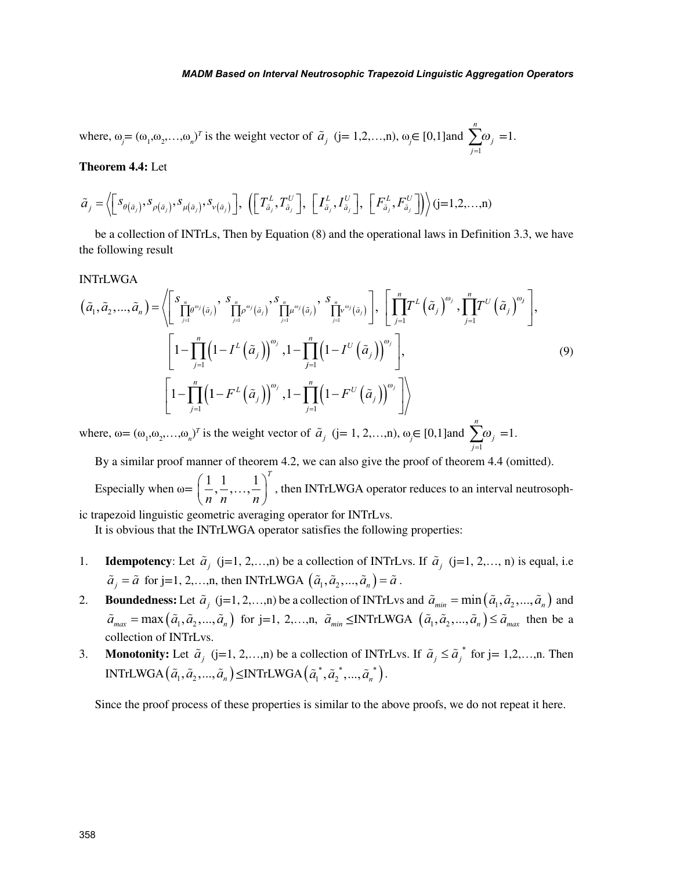where,  $\omega_j = (\omega_1, \omega_2, ..., \omega_n)^T$  is the weight vector of  $\tilde{a}_j$  (j= 1,2,…,n),  $\omega_j \in [0,1]$  and *j n j*  $\sum_{j=1}$  $\omega_i = 1$ .

#### **Theorem 4.4:** Let

$$
\widetilde{a}_j = \left\langle \begin{bmatrix} s_{\theta(\tilde{a}_j)}, s_{\rho(\tilde{a}_j)}, s_{\mu(\tilde{a}_j)}, s_{\nu(\tilde{a}_j)} \end{bmatrix}, \left( \begin{bmatrix} T_{\tilde{a}_j}^L, T_{\tilde{a}_j}^U \end{bmatrix}, \left[ T_{\tilde{a}_j}^L, I_{\tilde{a}_j}^U \right], \left[ F_{\tilde{a}_j}^L, F_{\tilde{a}_j}^U \right] \right\rangle \right\rangle (j=1,2,\ldots,n)
$$

be a collection of INTrLs, Then by Equation (8) and the operational laws in Definition 3.3, we have the following result

#### INTrLWGA

$$
\left(\tilde{a}_{1},\tilde{a}_{2},...,\tilde{a}_{n}\right)=\left\langle\left[\sum_{j=1}^{S_{n}}\sum_{j=1}^{n}e^{\omega_{j}}(\tilde{a}_{j})\sum_{j=1}^{S_{n}}\sum_{j=1}^{n}e^{\omega_{j}}(\tilde{a}_{j})\sum_{j=1}^{S_{n}}\prod_{j=1}^{n}e^{\omega_{j}}(\tilde{a}_{j})\sum_{j=1}^{S_{n}}\left[\prod_{j=1}^{n}T^{L}\left(\tilde{a}_{j}\right)^{\omega_{j}},\prod_{j=1}^{n}T^{U}\left(\tilde{a}_{j}\right)^{\omega_{j}}\right],\right] \times \left[\left[1-\prod_{j=1}^{n}\left(1-I^{L}\left(\tilde{a}_{j}\right)\right)^{\omega_{j}},1-\prod_{j=1}^{n}\left(1-I^{U}\left(\tilde{a}_{j}\right)\right)^{\omega_{j}}\right],\right]
$$
\n
$$
\left[1-\prod_{j=1}^{n}\left(1-F^{L}\left(\tilde{a}_{j}\right)\right)^{\omega_{j}},1-\prod_{j=1}^{n}\left(1-F^{U}\left(\tilde{a}_{j}\right)\right)^{\omega_{j}}\right]\right\rangle
$$
\n
$$
\left[1-\prod_{j=1}^{n}\left(1-F^{L}\left(\tilde{a}_{j}\right)\right)^{\omega_{j}},1-\prod_{j=1}^{n}\left(1-F^{U}\left(\tilde{a}_{j}\right)\right)^{\omega_{j}}\right]\right\rangle
$$
\n
$$
n
$$
\n(9)

where,  $\omega = (\omega_1, \omega_2, \dots, \omega_n)^T$  is the weight vector of  $\tilde{a}_j$  (j= 1, 2,…,n),  $\omega_j \in [0,1]$  and *j j*  $\sum_{j=1}$  $\omega_i = 1$ .

By a similar proof manner of theorem 4.2, we can also give the proof of theorem 4.4 (omitted).

Especially when  $\omega = \left( \frac{1}{2}, \frac{1}{2}, \ldots, \frac{1}{n} \right)$ *n n n*  $\left( \frac{1}{2}, \frac{1}{2}, \ldots, \frac{1}{n} \right)^{T}$  $\left(\frac{1}{n}, \frac{1}{n}, \ldots, \frac{1}{n}\right)^n$ , then INTrLWGA operator reduces to an interval neutrosoph-

ic trapezoid linguistic geometric averaging operator for INTrLvs.

It is obvious that the INTrLWGA operator satisfies the following properties:

- 1. **Idempotency**: Let  $\tilde{a}_j$  (j=1, 2,…,n) be a collection of INTrLvs. If  $\tilde{a}_j$  (j=1, 2,…, n) is equal, i.e  $\tilde{a}_i = \tilde{a}$  for j=1, 2,...,n, then INTrLWGA  $(\tilde{a}_1, \tilde{a}_2, ..., \tilde{a}_n) = \tilde{a}$ .
- 2. **Boundedness:** Let  $\tilde{a}_j$  (j=1, 2, ...,n) be a collection of INTrLvs and  $\tilde{a}_{\text{min}} = \min(\tilde{a}_1, \tilde{a}_2, ..., \tilde{a}_n)$  and  $\tilde{a}_{max} = \max(\tilde{a}_1, \tilde{a}_2, \ldots, \tilde{a}_n)$  for j=1, 2,…,n,  $\tilde{a}_{min} \leq \text{INTrLWGA} \left( \tilde{a}_1, \tilde{a}_2, \ldots, \tilde{a}_n \right) \leq \tilde{a}_{max}$  then be a collection of INTrLvs.
- 3. **Monotonity:** Let  $\tilde{a}_j$  (j=1, 2,…,n) be a collection of INTrLvs. If  $\tilde{a}_j \leq \tilde{a}_j^*$  for j= 1,2,…,n. Then  $\text{INTrLWGA}\left(\tilde{a}_{1}, \tilde{a}_{2}, ..., \tilde{a}_{n}\right) \leq \text{INTrLWGA}\left(\tilde{a}_{1}^{*}, \tilde{a}_{2}^{*}, ..., \tilde{a}_{n}^{*}\right).$

Since the proof process of these properties is similar to the above proofs, we do not repeat it here.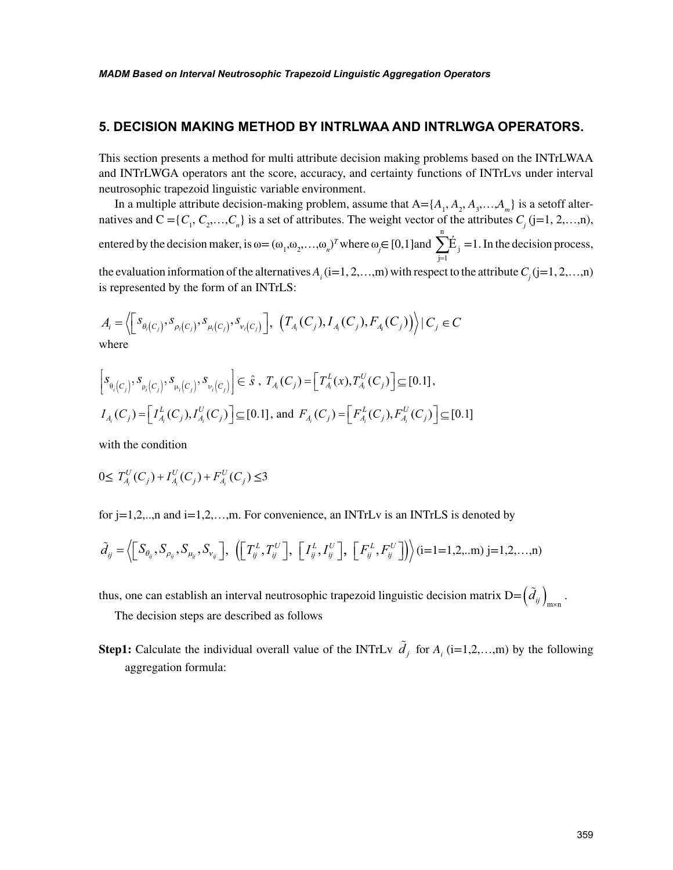## **5. DECISION MAKING METHOD BY INTRLWAA AND INTRLWGA OPERATORS.**

This section presents a method for multi attribute decision making problems based on the INTrLWAA and INTrLWGA operators ant the score, accuracy, and certainty functions of INTrLvs under interval neutrosophic trapezoid linguistic variable environment.

In a multiple attribute decision-making problem, assume that  $A = \{A_1, A_2, A_3, \ldots, A_m\}$  is a setoff alternatives and  $C = \{C_1, C_2, \ldots, C_n\}$  is a set of attributes. The weight vector of the attributes  $C_j$  (j=1, 2,…,n), entered by the decision maker, is  $\omega = (\omega_1, \omega_2, ..., \omega_n)^T$  where  $\omega_j \in [0, 1]$  and j n  $\mathrm{\dot{E}}_{\mathrm{j}}$  $\sum_{j=1}$  =1. In the decision process, the evaluation information of the alternatives  $A_i$  (i=1, 2, ...,m) with respect to the attribute  $C_j$  (j=1, 2, ...,n) is represented by the form of an INTrLS:

$$
A_i = \left\langle \left[ s_{\theta_i(C_j)}, s_{\rho_i(C_j)}, s_{\mu_i(C_j)}, s_{\nu_i(C_j)} \right], \left( T_{A_i}(C_j), I_{A_i}(C_j), F_{A_i}(C_j) \right) \right\rangle \mid C_j \in C
$$
  
where

$$
\[s_{\theta_i(C_j)}, s_{\rho_i(C_j)}, s_{\mu_i(C_j)}, s_{\nu_i(C_j)}\] \in \hat{s}, T_{A_i}(C_j) = \[T_{A_i}^L(x), T_{A_i}^U(C_j)\] \subseteq [0.1],
$$
  

$$
I_{A_i}(C_j) = \[I_{A_i}^L(C_j), I_{A_i}^U(C_j)\] \subseteq [0.1], \text{ and } F_{A_i}(C_j) = \[F_{A_i}^L(C_j), F_{A_i}^U(C_j)\] \subseteq [0.1]
$$

with the condition

$$
0 \le T_{A_i}^U(C_j) + I_{A_i}^U(C_j) + F_{A_i}^U(C_j) \le 3
$$

for j=1,2,..,n and i=1,2,...,m. For convenience, an INTrLv is an INTrLS is denoted by

$$
\tilde{d}_{ij} = \left\langle \left[ S_{\theta_{ij}}, S_{\rho_{ij}}, S_{\mu_{ij}}, S_{\nu_{ij}} \right], \left( \left[ T^L_{ij}, T^U_{ij} \right], \left[ I^L_{ij}, I^U_{ij} \right], \left[ F^L_{ij}, F^U_{ij} \right] \right\rangle \right\rangle (i=1=1,2,...m) \ j=1,2,...,n
$$

thus, one can establish an interval neutrosophic trapezoid linguistic decision matrix  $D = \left(\tilde{d}_{ij}\right)_{i,j=1}$ .

The decision steps are described as follows

**Step1:** Calculate the individual overall value of the INTrLv  $\tilde{d}_j$  for  $A_i$  (i=1,2,...,m) by the following aggregation formula: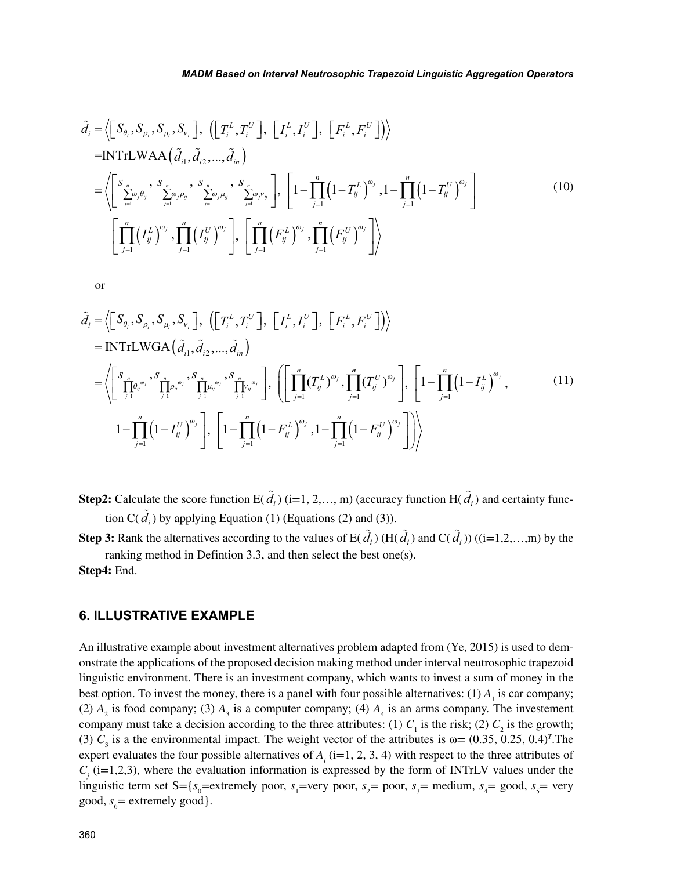$$
\tilde{d}_{i} = \left\langle \left[ S_{\theta_{i}}, S_{\rho_{i}}, S_{\mu_{i}}, S_{\nu_{i}} \right], \left( \left[ T_{i}^{L}, T_{i}^{U} \right], \left[ I_{i}^{L}, I_{i}^{U} \right], \left[ F_{i}^{L}, F_{i}^{U} \right] \right\rangle \right\rangle
$$
\n=INTrLWAA  $\left( \tilde{d}_{i1}, \tilde{d}_{i2}, ..., \tilde{d}_{in} \right)$   
\n
$$
= \left\langle \left[ S_{\sum_{j=1}^{n} \omega_{j} \theta_{ij}}, \frac{S_{\sum_{j=1}^{n} \omega_{j} \mu_{ij}}, \frac{S_{\sum_{j=1}^{n} \omega_{j} \mu_{ij}}, S_{\sum_{j=1}^{n} \omega_{j} \nu_{ij}}}{\sum_{j=1}^{n} \omega_{j} \mu_{ij}}, \frac{S_{\sum_{j=1}^{n} \omega_{j} \mu_{ij}}, \frac{S_{\sum_{j=1}^{n} \omega_{j} \nu_{ij}}}{\sum_{j=1}^{n} \omega_{j}} \right], \left[ 1 - \prod_{j=1}^{n} \left( 1 - T_{ij}^{L} \right)^{\omega_{j}}, 1 - \prod_{j=1}^{n} \left( 1 - T_{ij}^{U} \right)^{\omega_{j}} \right]
$$
\n
$$
\left[ \prod_{j=1}^{n} \left( I_{ij}^{L} \right)^{\omega_{j}}, \prod_{j=1}^{n} \left( I_{ij}^{U} \right)^{\omega_{j}} \right], \left[ \prod_{j=1}^{n} \left( F_{ij}^{L} \right)^{\omega_{j}}, \prod_{j=1}^{n} \left( F_{ij}^{U} \right)^{\omega_{j}} \right] \right\rangle
$$
\n(10)

or

$$
\tilde{d}_{i} = \left\langle \left[ S_{\theta_{i}}, S_{\rho_{i}}, S_{\mu_{i}}, S_{\nu_{i}} \right], \left( \left[ T_{i}^{L}, T_{i}^{U} \right], \left[ I_{i}^{L}, I_{i}^{U} \right], \left[ F_{i}^{L}, F_{i}^{U} \right] \right\rangle \right\rangle
$$
\n
$$
= \text{INTILWGA} \left( \tilde{d}_{i1}, \tilde{d}_{i2}, \dots, \tilde{d}_{in} \right)
$$
\n
$$
= \left\langle \left[ \sum_{j=1}^{S} \prod_{j=1}^{n} \rho_{ij}^{\omega_{j}}, \sum_{j=1}^{S} \prod_{j=1}^{n} \mu_{ij}^{\omega_{j}}, \sum_{j=1}^{S} \prod_{j=1}^{n} V_{ij}^{\omega_{j}} \right], \left( \left[ \prod_{j=1}^{n} (T_{ij}^{L})^{\omega_{j}}, \prod_{j=1}^{n} (T_{ij}^{U})^{\omega_{j}} \right], \left[ 1 - \prod_{j=1}^{n} (1 - I_{ij}^{L})^{\omega_{j}}, \right] \right\rangle
$$
\n
$$
1 - \prod_{j=1}^{n} (1 - I_{ij}^{U})^{\omega_{j}} \right], \left[ 1 - \prod_{j=1}^{n} (1 - F_{ij}^{L})^{\omega_{j}}, 1 - \prod_{j=1}^{n} (1 - F_{ij}^{U})^{\omega_{j}} \right] \right\rangle
$$
\n
$$
(11)
$$

**Step2:** Calculate the score function E( $\tilde{d}_i$ ) (i=1, 2,..., m) (accuracy function H( $\tilde{d}_i$ ) and certainty function  $C(\tilde{d}_i)$  by applying Equation (1) (Equations (2) and (3)).

**Step 3:** Rank the alternatives according to the values of  $E(\tilde{d}_i)$  (H( $\tilde{d}_i$ ) and  $C(\tilde{d}_i)$ ) ((i=1,2,...,m) by the ranking method in Defintion 3.3, and then select the best one(s).

**Step4:** End.

# **6. ILLUSTRATIVE EXAMPLE**

An illustrative example about investment alternatives problem adapted from (Ye, 2015) is used to demonstrate the applications of the proposed decision making method under interval neutrosophic trapezoid linguistic environment. There is an investment company, which wants to invest a sum of money in the best option. To invest the money, there is a panel with four possible alternatives:  $(1)$   $A<sub>1</sub>$  is car company; (2)  $A_2$  is food company; (3)  $A_3$  is a computer company; (4)  $A_4$  is an arms company. The investement company must take a decision according to the three attributes: (1)  $C_1$  is the risk; (2)  $C_2$  is the growth; (3)  $C_3$  is a the environmental impact. The weight vector of the attributes is  $\omega = (0.35, 0.25, 0.4)^T$ . The expert evaluates the four possible alternatives of  $A_i$  (i=1, 2, 3, 4) with respect to the three attributes of  $C_j$  (i=1,2,3), where the evaluation information is expressed by the form of INTrLV values under the linguistic term set S={ $s_0$ =extremely poor,  $s_1$ =very poor,  $s_2$ = poor,  $s_3$ = medium,  $s_4$ = good,  $s_5$ = very good,  $s_6$  = extremely good}.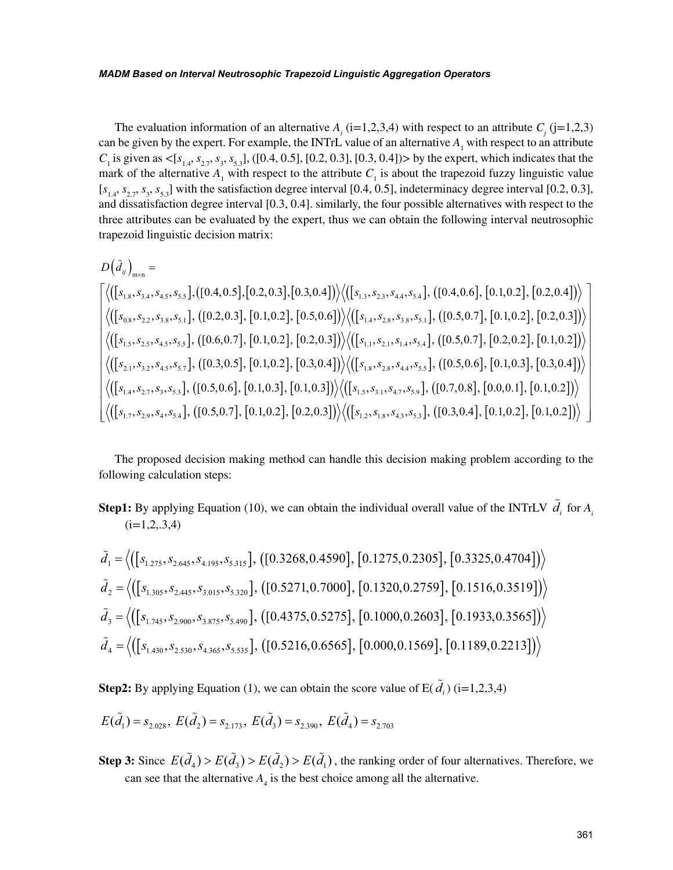The evaluation information of an alternative  $A_i$  (i=1,2,3,4) with respect to an attribute  $C_j$  (j=1,2,3) can be given by the expert. For example, the INTrL value of an alternative  $A_1$  with respect to an attribute  $C_1$  is given as  $\langle [s_{1,4}, s_{2,7}, s_3, s_{5,3}]$ , ([0.4, 0.5], [0.2, 0.3], [0.3, 0.4]) by the expert, which indicates that the mark of the alternative  $A_1$  with respect to the attribute  $C_1$  is about the trapezoid fuzzy linguistic value  $[s<sub>1,4</sub>, s<sub>2,7</sub>, s<sub>3</sub>, s<sub>5,3</sub>]$  with the satisfaction degree interval [0.4, 0.5], indeterminacy degree interval [0.2, 0.3], and dissatisfaction degree interval [0.3, 0.4]. similarly, the four possible alternatives with respect to the three attributes can be evaluated by the expert, thus we can obtain the following interval neutrosophic trapezoid linguistic decision matrix:

$$
D(\tilde{d}_{ij})_{\text{mxn}} = \n\begin{bmatrix}\n\langle ([s_{1.8}, s_{3.4}, s_{4.5}, s_{5.5}], ([0.4, 0.5], [0.2, 0.3], [0.3, 0.4]) \rangle \langle ([s_{1.3}, s_{2.3}, s_{4.4}, s_{5.4}], ([0.4, 0.6], [0.1, 0.2], [0.2, 0.4]) \rangle \\
\langle ([s_{0.8}, s_{2.2}, s_{3.8}, s_{5.1}], ([0.2, 0.3], [0.1, 0.2], [0.5, 0.6]) \rangle \langle ([s_{1.4}, s_{2.8}, s_{3.8}, s_{5.1}], ([0.5, 0.7], [0.1, 0.2], [0.2, 0.3]) \rangle \\
\langle ([s_{1.5}, s_{2.5}, s_{4.5}, s_{5.5}], ([0.6, 0.7], [0.1, 0.2], [0.2, 0.3]) \rangle \langle ([s_{1.1}, s_{2.1}, s_{1.4}, s_{5.4}], ([0.5, 0.7], [0.2, 0.2], [0.1, 0.2]) \rangle \\
\langle ([s_{2.1}, s_{3.2}, s_{4.5}, s_{5.7}], ([0.3, 0.5], [0.1, 0.2], [0.3, 0.4]) \rangle \langle ([s_{1.8}, s_{2.8}, s_{4.4}, s_{5.5}], ([0.5, 0.6], [0.1, 0.3], [0.3, 0.4]) \rangle \\
\langle ([s_{1.4}, s_{2.7}, s_{3,3}, s_{5.3}], ([0.5, 0.6], [0.1, 0.3], [0.1, 0.3]) \rangle \langle ([s_{1.5}, s_{3.1}, s_{4.7}, s_{5.9}], ([0.7, 0.8], [0.0, 0.1], [0.1, 0.2]) \rangle \\
\langle ([s_{1.7}, s_{2.9}, s_{4,3}, s_{5.4}], ([0.5, 0.7], [0.1, 0.2], [0.2, 0.3]) \rangle \langle ([s_{1.2}, s_{1.8}, s_{4.3}, s_{5.3}], ([0.3, 0.4], [0.1, 0.2], [0.1, 0.2]) \rangle\n\end{bmatrix}
$$

The proposed decision making method can handle this decision making problem according to the following calculation steps:

**Step1:** By applying Equation (10), we can obtain the individual overall value of the INTrLV  $\tilde{d}_i$  for  $A_i$  $(i=1,2,3,4)$ 

$$
\tilde{d}_1 = \left\langle \left( \left[ s_{1,275}, s_{2,645}, s_{4,195}, s_{5,315} \right], \left( \left[ 0.3268, 0.4590 \right], \left[ 0.1275, 0.2305 \right], \left[ 0.3325, 0.4704 \right] \right] \right\rangle
$$
\n
$$
\tilde{d}_2 = \left\langle \left( \left[ s_{1,305}, s_{2,445}, s_{3,015}, s_{5,320} \right], \left( \left[ 0.5271, 0.7000 \right], \left[ 0.1320, 0.2759 \right], \left[ 0.1516, 0.3519 \right] \right) \right\rangle
$$
\n
$$
\tilde{d}_3 = \left\langle \left( \left[ s_{1,745}, s_{2,900}, s_{3,875}, s_{5,490} \right], \left( \left[ 0.4375, 0.5275 \right], \left[ 0.1000, 0.2603 \right], \left[ 0.1933, 0.3565 \right] \right) \right\rangle
$$
\n
$$
\tilde{d}_4 = \left\langle \left( \left[ s_{1,430}, s_{2,530}, s_{4,365}, s_{5,535} \right], \left( \left[ 0.5216, 0.6565 \right], \left[ 0.000, 0.1569 \right], \left[ 0.1189, 0.2213 \right] \right) \right\rangle
$$

**Step2:** By applying Equation (1), we can obtain the score value of  $E(\tilde{d}_i)$  (i=1,2,3,4)

$$
E(\tilde{d}_1) = s_{2.028}, E(\tilde{d}_2) = s_{2.173}, E(\tilde{d}_3) = s_{2.390}, E(\tilde{d}_4) = s_{2.703}
$$

**Step 3:** Since  $E(\tilde{d}_4) > E(\tilde{d}_3) > E(\tilde{d}_1) > E(\tilde{d}_1)$ , the ranking order of four alternatives. Therefore, we can see that the alternative  $A_4$  is the best choice among all the alternative.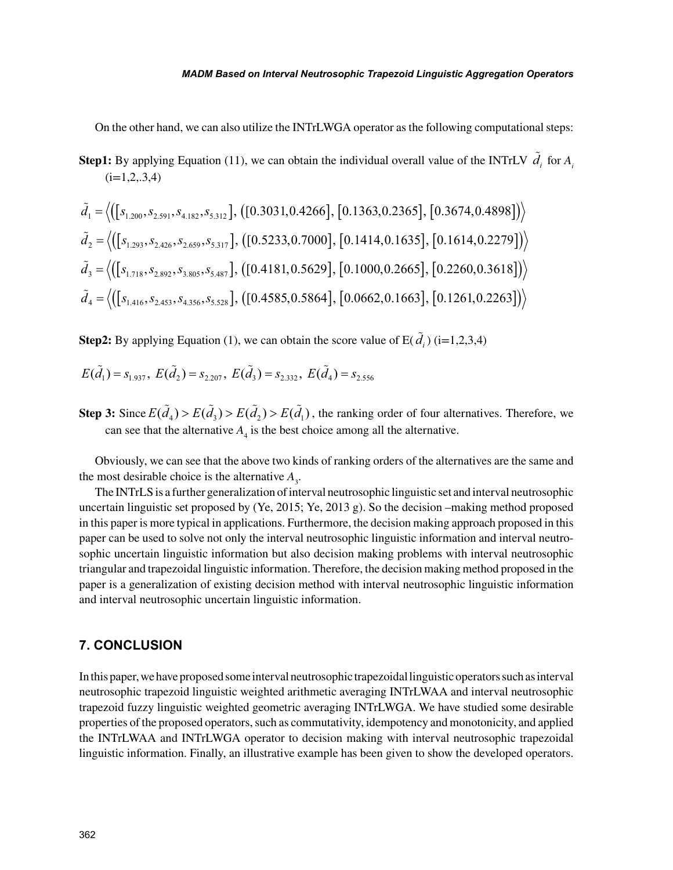On the other hand, we can also utilize the INTrLWGA operator as the following computational steps:

**Step1:** By applying Equation (11), we can obtain the individual overall value of the INTrLV  $\tilde{d}_i$  for  $A_i$  $(i=1,2,3,4)$ 

$$
\tilde{d}_1 = \left\langle \left( [s_{1,200}, s_{2.591}, s_{4.182}, s_{5.312}] , ([0.3031, 0.4266], [0.1363, 0.2365], [0.3674, 0.4898]) \right\rangle
$$
\n
$$
\tilde{d}_2 = \left\langle \left( [s_{1,293}, s_{2.426}, s_{2.659}, s_{5.317}] , ([0.5233, 0.7000], [0.1414, 0.1635], [0.1614, 0.2279]) \right\rangle
$$
\n
$$
\tilde{d}_3 = \left\langle \left( [s_{1.718}, s_{2.892}, s_{3.805}, s_{5.487}] , ([0.4181, 0.5629], [0.1000, 0.2665], [0.2260, 0.3618]) \right\rangle
$$
\n
$$
\tilde{d}_4 = \left\langle \left( [s_{1.416}, s_{2.453}, s_{4.356}, s_{5.528}] , ([0.4585, 0.5864], [0.0662, 0.1663], [0.1261, 0.2263]) \right\rangle
$$

**Step2:** By applying Equation (1), we can obtain the score value of  $E(\tilde{d}_i)$  (i=1,2,3,4)

$$
E(\tilde{d}_1) = s_{1.937}, E(\tilde{d}_2) = s_{2.207}, E(\tilde{d}_3) = s_{2.332}, E(\tilde{d}_4) = s_{2.556}
$$

**Step 3:** Since  $E(\tilde{d}_1) > E(\tilde{d}_2) > E(\tilde{d}_1) > E(\tilde{d}_1)$ , the ranking order of four alternatives. Therefore, we can see that the alternative  $A_4$  is the best choice among all the alternative.

Obviously, we can see that the above two kinds of ranking orders of the alternatives are the same and the most desirable choice is the alternative  $A_3$ .

The INTrLS is a further generalization of interval neutrosophic linguistic set and interval neutrosophic uncertain linguistic set proposed by (Ye, 2015; Ye, 2013 g). So the decision –making method proposed in this paper is more typical in applications. Furthermore, the decision making approach proposed in this paper can be used to solve not only the interval neutrosophic linguistic information and interval neutrosophic uncertain linguistic information but also decision making problems with interval neutrosophic triangular and trapezoidal linguistic information. Therefore, the decision making method proposed in the paper is a generalization of existing decision method with interval neutrosophic linguistic information and interval neutrosophic uncertain linguistic information.

## **7. CONCLUSION**

In this paper, we have proposed some interval neutrosophic trapezoidal linguistic operators such as interval neutrosophic trapezoid linguistic weighted arithmetic averaging INTrLWAA and interval neutrosophic trapezoid fuzzy linguistic weighted geometric averaging INTrLWGA. We have studied some desirable properties of the proposed operators, such as commutativity, idempotency and monotonicity, and applied the INTrLWAA and INTrLWGA operator to decision making with interval neutrosophic trapezoidal linguistic information. Finally, an illustrative example has been given to show the developed operators.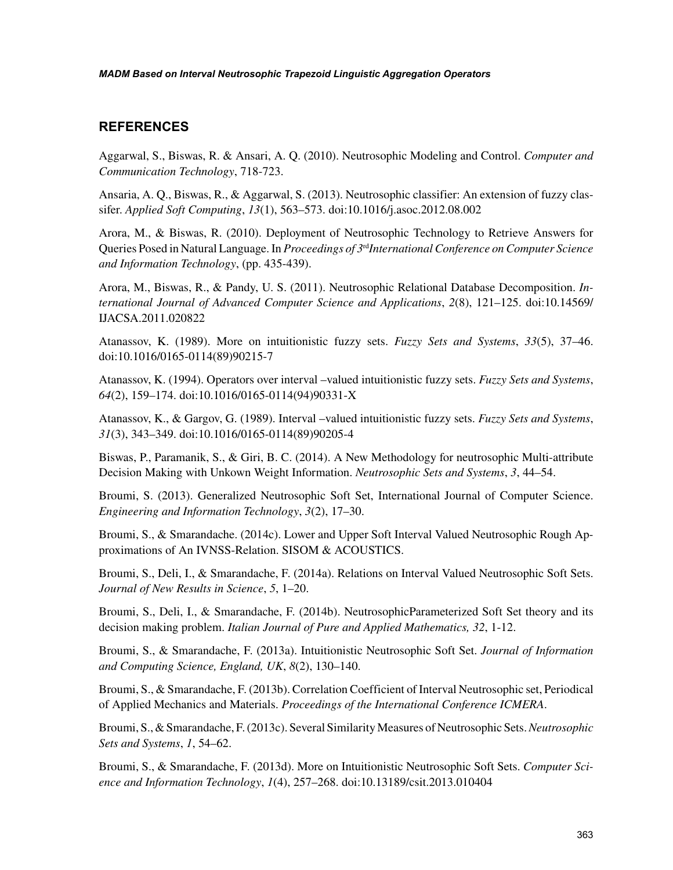# **REFERENCES**

Aggarwal, S., Biswas, R. & Ansari, A. Q. (2010). Neutrosophic Modeling and Control. *Computer and Communication Technology*, 718-723.

Ansaria, A. Q., Biswas, R., & Aggarwal, S. (2013). Neutrosophic classifier: An extension of fuzzy classifer. *Applied Soft Computing*, *13*(1), 563–573. doi:10.1016/j.asoc.2012.08.002

Arora, M., & Biswas, R. (2010). Deployment of Neutrosophic Technology to Retrieve Answers for Queries Posed in Natural Language. In *Proceedings of 3*rd*International Conference on Computer Science and Information Technology*, (pp. 435-439).

Arora, M., Biswas, R., & Pandy, U. S. (2011). Neutrosophic Relational Database Decomposition. *International Journal of Advanced Computer Science and Applications*, *2*(8), 121–125. doi:10.14569/ IJACSA.2011.020822

Atanassov, K. (1989). More on intuitionistic fuzzy sets. *Fuzzy Sets and Systems*, *33*(5), 37–46. doi:10.1016/0165-0114(89)90215-7

Atanassov, K. (1994). Operators over interval –valued intuitionistic fuzzy sets. *Fuzzy Sets and Systems*, *64*(2), 159–174. doi:10.1016/0165-0114(94)90331-X

Atanassov, K., & Gargov, G. (1989). Interval –valued intuitionistic fuzzy sets. *Fuzzy Sets and Systems*, *31*(3), 343–349. doi:10.1016/0165-0114(89)90205-4

Biswas, P., Paramanik, S., & Giri, B. C. (2014). A New Methodology for neutrosophic Multi-attribute Decision Making with Unkown Weight Information. *Neutrosophic Sets and Systems*, *3*, 44–54.

Broumi, S. (2013). Generalized Neutrosophic Soft Set, International Journal of Computer Science. *Engineering and Information Technology*, *3*(2), 17–30.

Broumi, S., & Smarandache. (2014c). Lower and Upper Soft Interval Valued Neutrosophic Rough Approximations of An IVNSS-Relation. SISOM & ACOUSTICS.

Broumi, S., Deli, I., & Smarandache, F. (2014a). Relations on Interval Valued Neutrosophic Soft Sets. *Journal of New Results in Science*, *5*, 1–20.

Broumi, S., Deli, I., & Smarandache, F. (2014b). NeutrosophicParameterized Soft Set theory and its decision making problem. *Italian Journal of Pure and Applied Mathematics, 32*, 1-12.

Broumi, S., & Smarandache, F. (2013a). Intuitionistic Neutrosophic Soft Set. *Journal of Information and Computing Science, England, UK*, *8*(2), 130–140.

Broumi, S., & Smarandache, F. (2013b). Correlation Coefficient of Interval Neutrosophic set, Periodical of Applied Mechanics and Materials. *Proceedings of the International Conference ICMERA*.

Broumi, S., & Smarandache, F. (2013c). Several Similarity Measures of Neutrosophic Sets. *Neutrosophic Sets and Systems*, *1*, 54–62.

Broumi, S., & Smarandache, F. (2013d). More on Intuitionistic Neutrosophic Soft Sets. *Computer Science and Information Technology*, *1*(4), 257–268. doi:10.13189/csit.2013.010404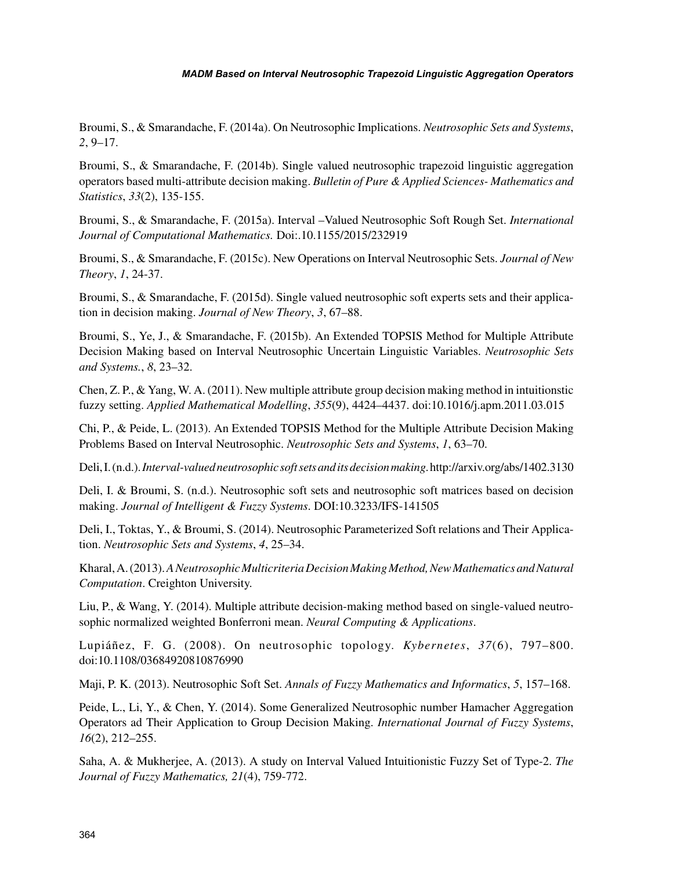Broumi, S., & Smarandache, F. (2014a). On Neutrosophic Implications. *Neutrosophic Sets and Systems*, *2*, 9–17.

Broumi, S., & Smarandache, F. (2014b). Single valued neutrosophic trapezoid linguistic aggregation operators based multi-attribute decision making. *Bulletin of Pure & Applied Sciences- Mathematics and Statistics*, *33*(2), 135-155.

Broumi, S., & Smarandache, F. (2015a). Interval –Valued Neutrosophic Soft Rough Set. *International Journal of Computational Mathematics.* Doi:.10.1155/2015/232919

Broumi, S., & Smarandache, F. (2015c). New Operations on Interval Neutrosophic Sets. *Journal of New Theory*, *1*, 24-37.

Broumi, S., & Smarandache, F. (2015d). Single valued neutrosophic soft experts sets and their application in decision making. *Journal of New Theory*, *3*, 67–88.

Broumi, S., Ye, J., & Smarandache, F. (2015b). An Extended TOPSIS Method for Multiple Attribute Decision Making based on Interval Neutrosophic Uncertain Linguistic Variables. *Neutrosophic Sets and Systems.*, *8*, 23–32.

Chen, Z. P., & Yang, W. A. (2011). New multiple attribute group decision making method in intuitionstic fuzzy setting. *Applied Mathematical Modelling*, *355*(9), 4424–4437. doi:10.1016/j.apm.2011.03.015

Chi, P., & Peide, L. (2013). An Extended TOPSIS Method for the Multiple Attribute Decision Making Problems Based on Interval Neutrosophic. *Neutrosophic Sets and Systems*, *1*, 63–70.

Deli, I. (n.d.). *Interval-valued neutrosophic soft sets and its decision making*. http://arxiv.org/abs/1402.3130

Deli, I. & Broumi, S. (n.d.). Neutrosophic soft sets and neutrosophic soft matrices based on decision making. *Journal of Intelligent & Fuzzy Systems*. DOI:10.3233/IFS-141505

Deli, I., Toktas, Y., & Broumi, S. (2014). Neutrosophic Parameterized Soft relations and Their Application. *Neutrosophic Sets and Systems*, *4*, 25–34.

Kharal, A. (2013). *A Neutrosophic Multicriteria Decision Making Method, New Mathematics and Natural Computation*. Creighton University.

Liu, P., & Wang, Y. (2014). Multiple attribute decision-making method based on single-valued neutrosophic normalized weighted Bonferroni mean. *Neural Computing & Applications*.

Lupiáñez, F. G. (2008). On neutrosophic topology. *Kybernetes*, *37*(6), 797–800. doi:10.1108/03684920810876990

Maji, P. K. (2013). Neutrosophic Soft Set. *Annals of Fuzzy Mathematics and Informatics*, *5*, 157–168.

Peide, L., Li, Y., & Chen, Y. (2014). Some Generalized Neutrosophic number Hamacher Aggregation Operators ad Their Application to Group Decision Making. *International Journal of Fuzzy Systems*, *16*(2), 212–255.

Saha, A. & Mukherjee, A. (2013). A study on Interval Valued Intuitionistic Fuzzy Set of Type-2. *The Journal of Fuzzy Mathematics, 21*(4), 759-772.